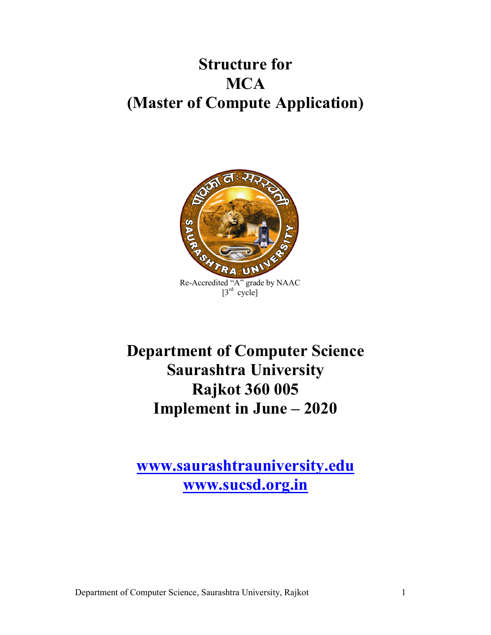# **Structure for MCA (Master of Compute Application)**



**Department of Computer Science Saurashtra University Rajkot 360 005 Implement in June – 2020**

**www.saurashtrauniversity.edu www.sucsd.org.in**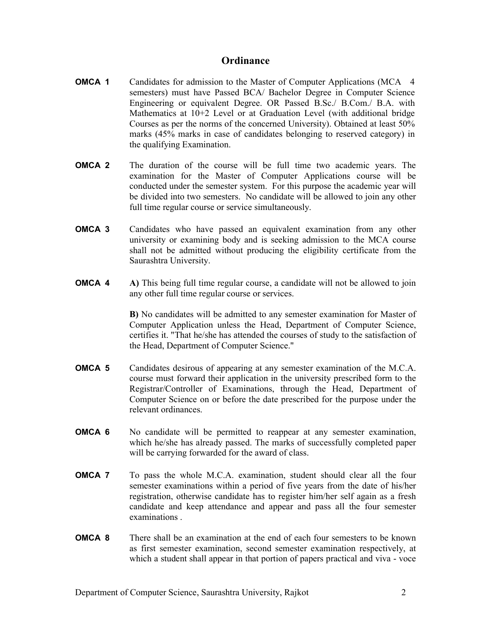#### **Ordinance**

- **OMCA 1** Candidates for admission to the Master of Computer Applications (MCA 4 semesters) must have Passed BCA/ Bachelor Degree in Computer Science Engineering or equivalent Degree. OR Passed B.Sc./ B.Com./ B.A. with Mathematics at 10+2 Level or at Graduation Level (with additional bridge Courses as per the norms of the concerned University). Obtained at least 50% marks (45% marks in case of candidates belonging to reserved category) in the qualifying Examination.
- **OMCA 2** The duration of the course will be full time two academic years. The examination for the Master of Computer Applications course will be conducted under the semester system. For this purpose the academic year will be divided into two semesters. No candidate will be allowed to join any other full time regular course or service simultaneously.
- **OMCA 3** Candidates who have passed an equivalent examination from any other university or examining body and is seeking admission to the MCA course shall not be admitted without producing the eligibility certificate from the Saurashtra University.
- **OMCA 4 A)** This being full time regular course, a candidate will not be allowed to join any other full time regular course or services.

**B)** No candidates will be admitted to any semester examination for Master of Computer Application unless the Head, Department of Computer Science, certifies it. "That he/she has attended the courses of study to the satisfaction of the Head, Department of Computer Science."

- **OMCA 5** Candidates desirous of appearing at any semester examination of the M.C.A. course must forward their application in the university prescribed form to the Registrar/Controller of Examinations, through the Head, Department of Computer Science on or before the date prescribed for the purpose under the relevant ordinances.
- **OMCA 6** No candidate will be permitted to reappear at any semester examination, which he/she has already passed. The marks of successfully completed paper will be carrying forwarded for the award of class.
- **OMCA 7** To pass the whole M.C.A. examination, student should clear all the four semester examinations within a period of five years from the date of his/her registration, otherwise candidate has to register him/her self again as a fresh candidate and keep attendance and appear and pass all the four semester examinations .
- **OMCA 8** There shall be an examination at the end of each four semesters to be known as first semester examination, second semester examination respectively, at which a student shall appear in that portion of papers practical and viva - voce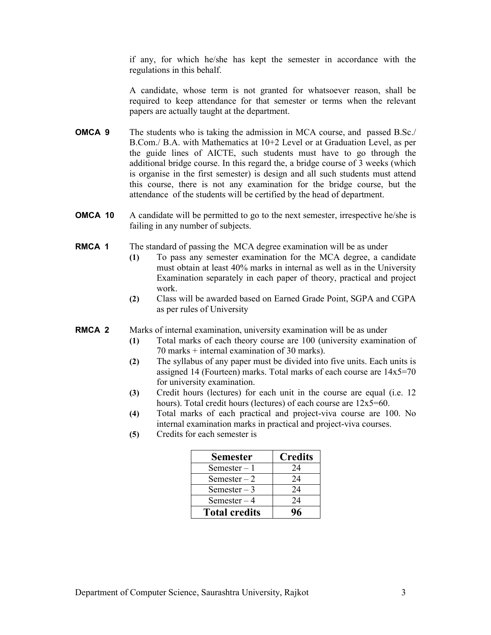if any, for which he/she has kept the semester in accordance with the regulations in this behalf.

A candidate, whose term is not granted for whatsoever reason, shall be required to keep attendance for that semester or terms when the relevant papers are actually taught at the department.

- **OMCA 9** The students who is taking the admission in MCA course, and passed B.Sc./ B.Com./ B.A. with Mathematics at 10+2 Level or at Graduation Level, as per the guide lines of AICTE, such students must have to go through the additional bridge course. In this regard the, a bridge course of 3 weeks (which is organise in the first semester) is design and all such students must attend this course, there is not any examination for the bridge course, but the attendance of the students will be certified by the head of department.
- **OMCA 10** A candidate will be permitted to go to the next semester, irrespective he/she is failing in any number of subjects.
- **RMCA 1** The standard of passing the MCA degree examination will be as under
	- **(1)** To pass any semester examination for the MCA degree, a candidate must obtain at least 40% marks in internal as well as in the University Examination separately in each paper of theory, practical and project work.
	- **(2)** Class will be awarded based on Earned Grade Point, SGPA and CGPA as per rules of University

**RMCA 2** Marks of internal examination, university examination will be as under

- **(1)** Total marks of each theory course are 100 (university examination of 70 marks + internal examination of 30 marks).
- **(2)** The syllabus of any paper must be divided into five units. Each units is assigned 14 (Fourteen) marks. Total marks of each course are 14x5=70 for university examination.
- **(3)** Credit hours (lectures) for each unit in the course are equal (i.e. 12 hours). Total credit hours (lectures) of each course are  $12x5=60$ .
- **(4)** Total marks of each practical and project-viva course are 100. No internal examination marks in practical and project-viva courses.
- **(5)** Credits for each semester is

| <b>Semester</b>      | <b>Credits</b> |
|----------------------|----------------|
| Semester $-1$        | 24             |
| Semester $-2$        | 24             |
| Semester $-3$        | 24             |
| Semester $-4$        | 24             |
| <b>Total credits</b> |                |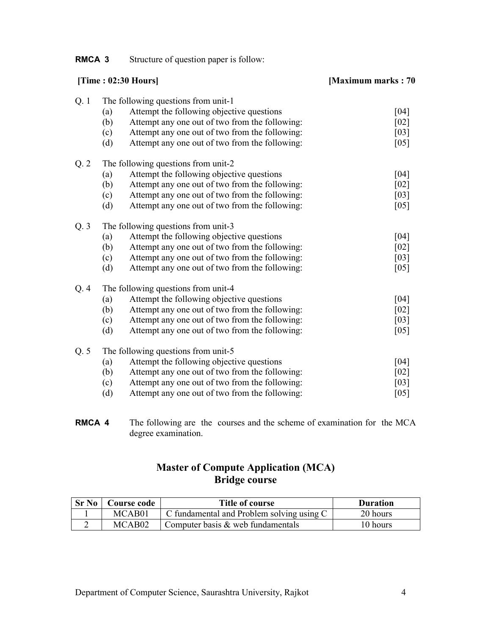**RMCA 3** Structure of question paper is follow:

| [Time: $02:30$ Hours]                                 | [Maximum marks: 70]                                                                                                                                                                                                                                                                                                                                                                                                                                                                                                                       |
|-------------------------------------------------------|-------------------------------------------------------------------------------------------------------------------------------------------------------------------------------------------------------------------------------------------------------------------------------------------------------------------------------------------------------------------------------------------------------------------------------------------------------------------------------------------------------------------------------------------|
| The following questions from unit-1                   | [04]                                                                                                                                                                                                                                                                                                                                                                                                                                                                                                                                      |
| (b)<br>Attempt any one out of two from the following: | $[02]$                                                                                                                                                                                                                                                                                                                                                                                                                                                                                                                                    |
| Attempt any one out of two from the following:<br>(c) | $[03]$                                                                                                                                                                                                                                                                                                                                                                                                                                                                                                                                    |
| (d)                                                   | [05]                                                                                                                                                                                                                                                                                                                                                                                                                                                                                                                                      |
| The following questions from unit-2                   |                                                                                                                                                                                                                                                                                                                                                                                                                                                                                                                                           |
| Attempt the following objective questions<br>(a)      | [04]                                                                                                                                                                                                                                                                                                                                                                                                                                                                                                                                      |
| (b)<br>Attempt any one out of two from the following: | [02]                                                                                                                                                                                                                                                                                                                                                                                                                                                                                                                                      |
| (c)                                                   | $[03]$                                                                                                                                                                                                                                                                                                                                                                                                                                                                                                                                    |
|                                                       | $[05]$                                                                                                                                                                                                                                                                                                                                                                                                                                                                                                                                    |
| The following questions from unit-3                   |                                                                                                                                                                                                                                                                                                                                                                                                                                                                                                                                           |
| Attempt the following objective questions<br>(a)      | [04]                                                                                                                                                                                                                                                                                                                                                                                                                                                                                                                                      |
|                                                       | $[02]$                                                                                                                                                                                                                                                                                                                                                                                                                                                                                                                                    |
| (c)                                                   | $[03]$                                                                                                                                                                                                                                                                                                                                                                                                                                                                                                                                    |
|                                                       | $[05]$                                                                                                                                                                                                                                                                                                                                                                                                                                                                                                                                    |
| The following questions from unit-4                   |                                                                                                                                                                                                                                                                                                                                                                                                                                                                                                                                           |
| Attempt the following objective questions<br>(a)      | [04]                                                                                                                                                                                                                                                                                                                                                                                                                                                                                                                                      |
| (b)<br>Attempt any one out of two from the following: | [02]                                                                                                                                                                                                                                                                                                                                                                                                                                                                                                                                      |
| Attempt any one out of two from the following:<br>(c) | $[03]$                                                                                                                                                                                                                                                                                                                                                                                                                                                                                                                                    |
| (d)                                                   | $[05]$                                                                                                                                                                                                                                                                                                                                                                                                                                                                                                                                    |
| The following questions from unit-5                   |                                                                                                                                                                                                                                                                                                                                                                                                                                                                                                                                           |
| (a)                                                   | $[04]$                                                                                                                                                                                                                                                                                                                                                                                                                                                                                                                                    |
| Attempt any one out of two from the following:<br>(b) | $[02]$                                                                                                                                                                                                                                                                                                                                                                                                                                                                                                                                    |
| Attempt any one out of two from the following:<br>(c) | $[03]$                                                                                                                                                                                                                                                                                                                                                                                                                                                                                                                                    |
|                                                       | $[05]$                                                                                                                                                                                                                                                                                                                                                                                                                                                                                                                                    |
|                                                       | Attempt the following objective questions<br>(a)<br>Attempt any one out of two from the following:<br>Attempt any one out of two from the following:<br>Attempt any one out of two from the following:<br>(d)<br>(b)<br>Attempt any one out of two from the following:<br>Attempt any one out of two from the following:<br>Attempt any one out of two from the following:<br>(d)<br>Attempt any one out of two from the following:<br>Attempt the following objective questions<br>(d)<br>Attempt any one out of two from the following: |

**RMCA 4** The following are the courses and the scheme of examination for the MCA degree examination.

### **Master of Compute Application (MCA) Bridge course**

| Sr No | Course code        | Title of course                           | <b>Duration</b> |
|-------|--------------------|-------------------------------------------|-----------------|
|       | MCAB01             | C fundamental and Problem solving using C | 20 hours        |
|       | MCAB <sub>02</sub> | Computer basis $\&$ web fundamentals      | 10 hours        |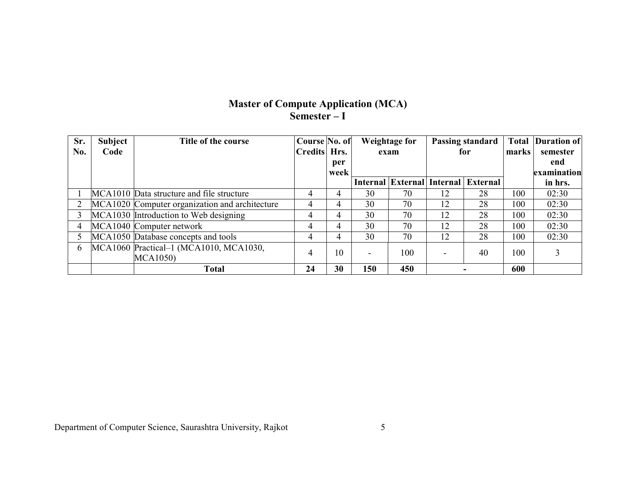#### **Master of Compute Application (MCA) Semester – I**

| Sr. | <b>Subject</b> | Title of the course                            | Course No. of |      | <b>Weightage for</b> |      | <b>Passing standard</b> |                                     | <b>Total</b> | Duration of |
|-----|----------------|------------------------------------------------|---------------|------|----------------------|------|-------------------------|-------------------------------------|--------------|-------------|
| No. | Code           |                                                | Credits Hrs.  |      |                      | exam | for                     |                                     | marks        | semester    |
|     |                |                                                |               | per  |                      |      |                         |                                     |              | end         |
|     |                |                                                |               | week |                      |      |                         |                                     |              | examination |
|     |                |                                                |               |      |                      |      |                         | Internal External Internal External |              | in hrs.     |
|     |                | MCA1010 Data structure and file structure      |               | 4    | 30                   | 70   | 12                      | 28                                  | 100          | 02:30       |
|     |                | MCA1020 Computer organization and architecture |               | 4    | 30                   | 70   | 12                      | 28                                  | 100          | 02:30       |
|     |                | MCA1030 Introduction to Web designing          | 4             | 4    | 30                   | 70   | 12                      | 28                                  | 100          | 02:30       |
| 4   |                | MCA1040 Computer network                       | 4             | 4    | 30                   | 70   | 12                      | 28                                  | 100          | 02:30       |
|     |                | MCA1050 Database concepts and tools            |               | 4    | 30                   | 70   | 12                      | 28                                  | 100          | 02:30       |
| 6   |                | MCA1060 Practical-1 (MCA1010, MCA1030,         |               | 10   |                      | 100  |                         | 40                                  | 100          | 3           |
|     |                | <b>MCA1050</b> )                               |               |      |                      |      |                         |                                     |              |             |
|     |                | <b>Total</b>                                   | 24            | 30   | 150                  | 450  |                         |                                     | 600          |             |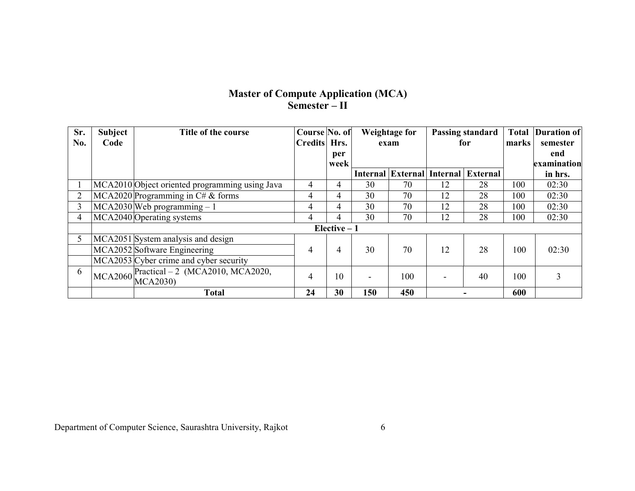## **Master of Compute Application (MCA) Semester – II**

| Sr. | <b>Subject</b> | Title of the course                            | Course No. of  |               | <b>Weightage for</b><br>Passing standard |      |     | <b>Total</b>                        | <b>Duration of</b> |             |
|-----|----------------|------------------------------------------------|----------------|---------------|------------------------------------------|------|-----|-------------------------------------|--------------------|-------------|
| No. | Code           |                                                | Credits Hrs.   |               |                                          | exam | for |                                     | marks              | semester    |
|     |                |                                                |                | per           |                                          |      |     |                                     |                    | end         |
|     |                |                                                |                | week          |                                          |      |     |                                     |                    | examination |
|     |                |                                                |                |               |                                          |      |     | Internal External Internal External |                    | in hrs.     |
|     |                | MCA2010 Object oriented programming using Java | 4              | 4             | 30                                       | 70   | 12  | 28                                  | 100                | 02:30       |
| 2   |                | MCA2020 Programming in $C \# \&$ forms         | $\overline{4}$ | 4             | 30                                       | 70   | 12  | 28                                  | 100                | 02:30       |
| 3   |                | $MCA2030$ Web programming $-1$                 | 4              | 4             | 30                                       | 70   | 12  | 28                                  | 100                | 02:30       |
| 4   |                | MCA2040 Operating systems                      | 4              | 4             | 30                                       | 70   | 12  | 28                                  | 100                | 02:30       |
|     |                |                                                |                | Elective $-1$ |                                          |      |     |                                     |                    |             |
| 5   |                | MCA2051 System analysis and design             |                |               |                                          |      |     |                                     |                    |             |
|     |                | MCA2052 Software Engineering                   | 4              | 4             | 30                                       | 70   | 12  | 28                                  | 100                | 02:30       |
|     |                | MCA2053 Cyber crime and cyber security         |                |               |                                          |      |     |                                     |                    |             |
| 6   |                | $MCA2060$ Practical $-2$ (MCA2010, MCA2020,    | 4              | 10            |                                          | 100  |     | 40                                  | 100                | 3           |
|     |                |                                                |                |               |                                          |      |     |                                     |                    |             |
|     |                | <b>Total</b>                                   | 24             | 30            | 150                                      | 450  |     |                                     | 600                |             |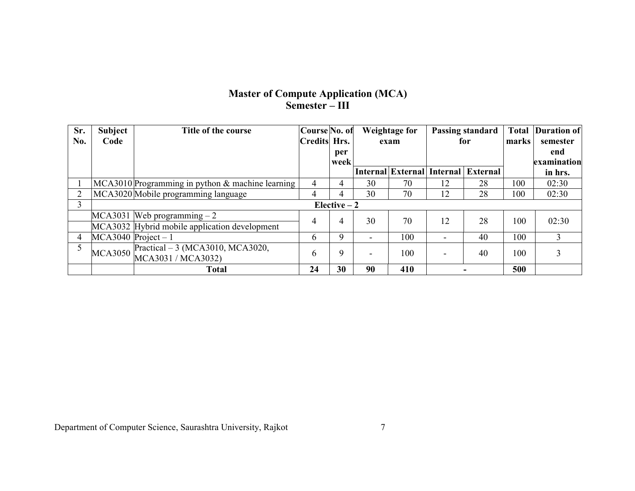## **Master of Compute Application (MCA) Semester – III**

| Sr. | <b>Subject</b>        | Title of the course                                    | Course No. of  |               |                          | <b>Weightage for</b> |                          | Passing standard                           |       | <b>Duration of</b> |
|-----|-----------------------|--------------------------------------------------------|----------------|---------------|--------------------------|----------------------|--------------------------|--------------------------------------------|-------|--------------------|
| No. | Code                  |                                                        | Credits Hrs.   |               |                          | exam                 | for                      |                                            | marks | semester           |
|     |                       |                                                        |                | per           |                          |                      |                          |                                            |       | end                |
|     |                       |                                                        |                | week          |                          |                      |                          |                                            |       | examination        |
|     |                       |                                                        |                |               |                          |                      |                          | <b>Internal External Internal External</b> |       | in hrs.            |
|     |                       | $MCA3010$ Programming in python $&$ machine learning   | 4              | 4             | 30                       | 70                   | 12                       | 28                                         | 100   | 02:30              |
|     |                       | MCA3020 Mobile programming language                    | 4              | 4             | 30                       | 70                   | 12                       | 28                                         | 100   | 02:30              |
| 3   |                       |                                                        |                | Elective $-2$ |                          |                      |                          |                                            |       |                    |
|     |                       | MCA3031 Web programming $-2$                           | $\overline{4}$ | 4             | 30                       | 70                   | 12                       | 28                                         | 100   | 02:30              |
|     |                       | MCA3032 Hybrid mobile application development          |                |               |                          |                      |                          |                                            |       |                    |
| 4   | $MCA3040$ Project - 1 |                                                        | 6              | 9             | $\overline{\phantom{0}}$ | 100                  | $\overline{\phantom{0}}$ | 40                                         | 100   | 3                  |
|     | <b>MCA3050</b>        | Practical - 3 (MCA3010, MCA3020,<br>MCA3031 / MCA3032) | 6              | 9             |                          | 100                  |                          | 40                                         | 100   |                    |
|     |                       | <b>Total</b>                                           | 24             | 30            | 90                       | 410                  |                          |                                            | 500   |                    |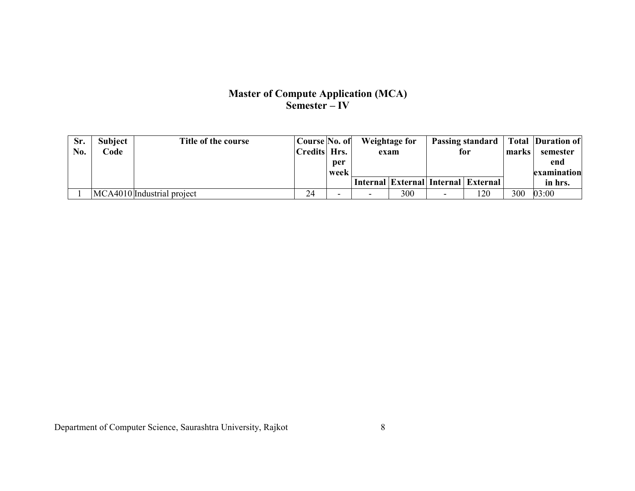## **Master of Compute Application (MCA) Semester – IV**

| Sr. | <b>Subject</b> | Title of the course        | Course No. of |      |      | Weightage for |     |                                     |       | <b>Passing standard</b> Total Duration of |
|-----|----------------|----------------------------|---------------|------|------|---------------|-----|-------------------------------------|-------|-------------------------------------------|
| No. | Code           |                            | Credits Hrs.  |      | exam |               | for |                                     | marks | semester                                  |
|     |                |                            |               | per  |      |               |     |                                     |       | end                                       |
|     |                |                            |               | week |      |               |     |                                     |       | examination                               |
|     |                |                            |               |      |      |               |     | Internal External Internal External |       | in hrs.                                   |
|     |                | MCA4010 Industrial project |               | -    |      | 300           |     | 120                                 | 300   | 03:00                                     |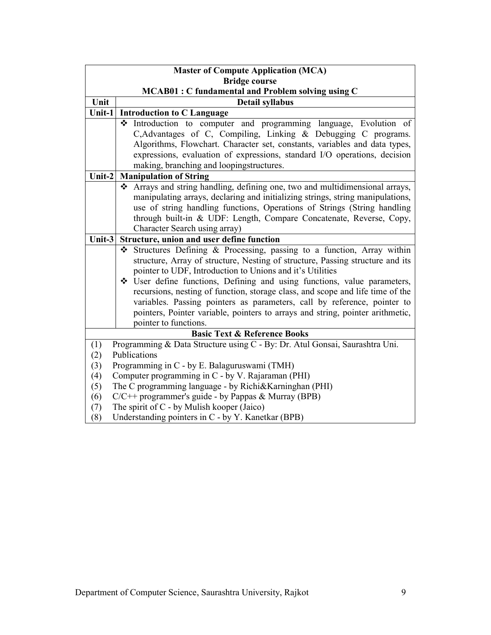|            | <b>Master of Compute Application (MCA)</b>                                                                                                                 |  |  |  |  |  |  |
|------------|------------------------------------------------------------------------------------------------------------------------------------------------------------|--|--|--|--|--|--|
|            | <b>Bridge course</b>                                                                                                                                       |  |  |  |  |  |  |
|            | <b>MCAB01: C fundamental and Problem solving using C</b>                                                                                                   |  |  |  |  |  |  |
| Unit       | <b>Detail syllabus</b>                                                                                                                                     |  |  |  |  |  |  |
| Unit-1     | <b>Introduction to C Language</b>                                                                                                                          |  |  |  |  |  |  |
|            | Introduction to computer and programming language, Evolution of                                                                                            |  |  |  |  |  |  |
|            | C, Advantages of C, Compiling, Linking & Debugging C programs.                                                                                             |  |  |  |  |  |  |
|            | Algorithms, Flowchart. Character set, constants, variables and data types,                                                                                 |  |  |  |  |  |  |
|            | expressions, evaluation of expressions, standard I/O operations, decision                                                                                  |  |  |  |  |  |  |
|            | making, branching and loopingstructures.                                                                                                                   |  |  |  |  |  |  |
| Unit-2     | <b>Manipulation of String</b>                                                                                                                              |  |  |  |  |  |  |
|            | Arrays and string handling, defining one, two and multidimensional arrays,<br>❖                                                                            |  |  |  |  |  |  |
|            | manipulating arrays, declaring and initializing strings, string manipulations,<br>use of string handling functions, Operations of Strings (String handling |  |  |  |  |  |  |
|            | through built-in & UDF: Length, Compare Concatenate, Reverse, Copy,                                                                                        |  |  |  |  |  |  |
|            | Character Search using array)                                                                                                                              |  |  |  |  |  |  |
| Unit-3     | Structure, union and user define function                                                                                                                  |  |  |  |  |  |  |
|            | Structures Defining & Processing, passing to a function, Array within<br>❖                                                                                 |  |  |  |  |  |  |
|            | structure, Array of structure, Nesting of structure, Passing structure and its                                                                             |  |  |  |  |  |  |
|            | pointer to UDF, Introduction to Unions and it's Utilities                                                                                                  |  |  |  |  |  |  |
|            | * User define functions, Defining and using functions, value parameters,                                                                                   |  |  |  |  |  |  |
|            | recursions, nesting of function, storage class, and scope and life time of the                                                                             |  |  |  |  |  |  |
|            | variables. Passing pointers as parameters, call by reference, pointer to                                                                                   |  |  |  |  |  |  |
|            | pointers, Pointer variable, pointers to arrays and string, pointer arithmetic,                                                                             |  |  |  |  |  |  |
|            | pointer to functions.                                                                                                                                      |  |  |  |  |  |  |
|            | <b>Basic Text &amp; Reference Books</b>                                                                                                                    |  |  |  |  |  |  |
| (1)        | Programming & Data Structure using C - By: Dr. Atul Gonsai, Saurashtra Uni.                                                                                |  |  |  |  |  |  |
| (2)        | Publications                                                                                                                                               |  |  |  |  |  |  |
| (3)        | Programming in C - by E. Balaguruswami (TMH)                                                                                                               |  |  |  |  |  |  |
| (4)        | Computer programming in C - by V. Rajaraman (PHI)                                                                                                          |  |  |  |  |  |  |
| (5)        | The C programming language - by Richi&Karninghan (PHI)                                                                                                     |  |  |  |  |  |  |
| (6)        | C/C++ programmer's guide - by Pappas & Murray (BPB)<br>The spirit of $C$ - by Mulish kooper (Jaico)                                                        |  |  |  |  |  |  |
| (7)<br>(8) | Understanding pointers in C - by Y. Kanetkar (BPB)                                                                                                         |  |  |  |  |  |  |
|            |                                                                                                                                                            |  |  |  |  |  |  |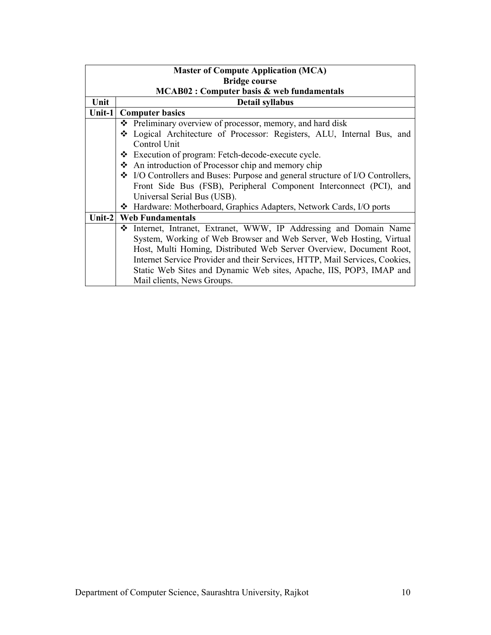| <b>Master of Compute Application (MCA)</b> |                                                                                |  |  |  |  |  |  |  |  |
|--------------------------------------------|--------------------------------------------------------------------------------|--|--|--|--|--|--|--|--|
|                                            | <b>Bridge course</b>                                                           |  |  |  |  |  |  |  |  |
|                                            | <b>MCAB02: Computer basis &amp; web fundamentals</b>                           |  |  |  |  |  |  |  |  |
| Unit                                       | <b>Detail syllabus</b>                                                         |  |  |  |  |  |  |  |  |
| Unit-1                                     | <b>Computer basics</b>                                                         |  |  |  |  |  |  |  |  |
|                                            | ❖ Preliminary overview of processor, memory, and hard disk                     |  |  |  |  |  |  |  |  |
|                                            | Logical Architecture of Processor: Registers, ALU, Internal Bus, and           |  |  |  |  |  |  |  |  |
|                                            | Control Unit                                                                   |  |  |  |  |  |  |  |  |
|                                            | * Execution of program: Fetch-decode-execute cycle.                            |  |  |  |  |  |  |  |  |
|                                            | An introduction of Processor chip and memory chip                              |  |  |  |  |  |  |  |  |
|                                            | ❖ I/O Controllers and Buses: Purpose and general structure of I/O Controllers, |  |  |  |  |  |  |  |  |
|                                            | Front Side Bus (FSB), Peripheral Component Interconnect (PCI), and             |  |  |  |  |  |  |  |  |
|                                            | Universal Serial Bus (USB).                                                    |  |  |  |  |  |  |  |  |
|                                            | ❖ Hardware: Motherboard, Graphics Adapters, Network Cards, I/O ports           |  |  |  |  |  |  |  |  |
|                                            | Unit-2   Web Fundamentals                                                      |  |  |  |  |  |  |  |  |
|                                            | ❖ Internet, Intranet, Extranet, WWW, IP Addressing and Domain Name             |  |  |  |  |  |  |  |  |
|                                            | System, Working of Web Browser and Web Server, Web Hosting, Virtual            |  |  |  |  |  |  |  |  |
|                                            | Host, Multi Homing, Distributed Web Server Overview, Document Root,            |  |  |  |  |  |  |  |  |
|                                            | Internet Service Provider and their Services, HTTP, Mail Services, Cookies,    |  |  |  |  |  |  |  |  |
|                                            | Static Web Sites and Dynamic Web sites, Apache, IIS, POP3, IMAP and            |  |  |  |  |  |  |  |  |
|                                            | Mail clients, News Groups.                                                     |  |  |  |  |  |  |  |  |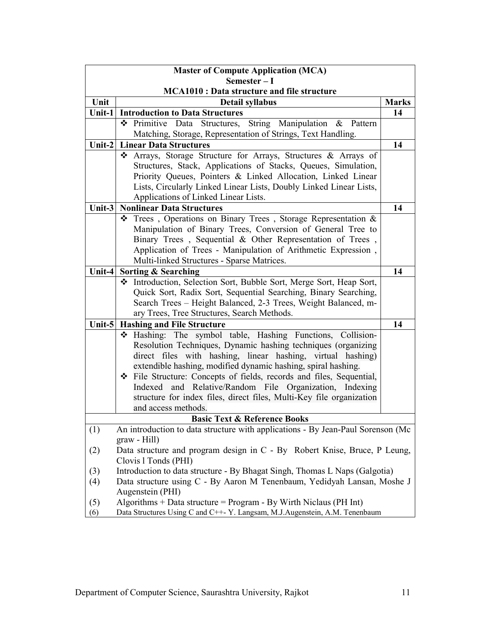|        | <b>Master of Compute Application (MCA)</b>                                                                                   |              |  |  |  |
|--------|------------------------------------------------------------------------------------------------------------------------------|--------------|--|--|--|
|        | Semester-I                                                                                                                   |              |  |  |  |
| Unit   | <b>MCA1010: Data structure and file structure</b>                                                                            | <b>Marks</b> |  |  |  |
| Unit-1 | Detail syllabus<br><b>Introduction to Data Structures</b>                                                                    | 14           |  |  |  |
|        | Data Structures, String Manipulation<br>❖ Primitive<br>$\boldsymbol{\mathcal{X}}$<br>Pattern                                 |              |  |  |  |
|        | Matching, Storage, Representation of Strings, Text Handling.                                                                 |              |  |  |  |
| Unit-2 | <b>Linear Data Structures</b>                                                                                                | 14           |  |  |  |
|        | Arrays, Storage Structure for Arrays, Structures & Arrays of<br>❖                                                            |              |  |  |  |
|        | Structures, Stack, Applications of Stacks, Queues, Simulation,                                                               |              |  |  |  |
|        | Priority Queues, Pointers & Linked Allocation, Linked Linear                                                                 |              |  |  |  |
|        | Lists, Circularly Linked Linear Lists, Doubly Linked Linear Lists,                                                           |              |  |  |  |
|        | Applications of Linked Linear Lists.                                                                                         |              |  |  |  |
| Unit-3 | <b>Nonlinear Data Structures</b>                                                                                             | 14           |  |  |  |
|        | $\div$ Trees, Operations on Binary Trees, Storage Representation &                                                           |              |  |  |  |
|        | Manipulation of Binary Trees, Conversion of General Tree to                                                                  |              |  |  |  |
|        | Binary Trees, Sequential & Other Representation of Trees,                                                                    |              |  |  |  |
|        | Application of Trees - Manipulation of Arithmetic Expression,                                                                |              |  |  |  |
|        | Multi-linked Structures - Sparse Matrices.                                                                                   |              |  |  |  |
| Unit-4 | <b>Sorting &amp; Searching</b>                                                                                               | 14           |  |  |  |
|        | * Introduction, Selection Sort, Bubble Sort, Merge Sort, Heap Sort,                                                          |              |  |  |  |
|        | Quick Sort, Radix Sort, Sequential Searching, Binary Searching,                                                              |              |  |  |  |
|        | Search Trees - Height Balanced, 2-3 Trees, Weight Balanced, m-                                                               |              |  |  |  |
|        | ary Trees, Tree Structures, Search Methods.                                                                                  |              |  |  |  |
|        | Unit-5   Hashing and File Structure                                                                                          | 14           |  |  |  |
|        | * Hashing: The symbol table, Hashing Functions, Collision-                                                                   |              |  |  |  |
|        | Resolution Techniques, Dynamic hashing techniques (organizing<br>direct files with hashing, linear hashing, virtual hashing) |              |  |  |  |
|        | extendible hashing, modified dynamic hashing, spiral hashing.                                                                |              |  |  |  |
|        | ❖ File Structure: Concepts of fields, records and files, Sequential,                                                         |              |  |  |  |
|        | Indexed and Relative/Random File Organization, Indexing                                                                      |              |  |  |  |
|        | structure for index files, direct files, Multi-Key file organization                                                         |              |  |  |  |
|        | and access methods.                                                                                                          |              |  |  |  |
|        | <b>Basic Text &amp; Reference Books</b>                                                                                      |              |  |  |  |
| (1)    | An introduction to data structure with applications - By Jean-Paul Sorenson (Mc                                              |              |  |  |  |
|        | $grav - Hill$ )                                                                                                              |              |  |  |  |
| (2)    | Data structure and program design in C - By Robert Knise, Bruce, P Leung,                                                    |              |  |  |  |
|        | Clovis 1 Tonds (PHI)                                                                                                         |              |  |  |  |
| (3)    | Introduction to data structure - By Bhagat Singh, Thomas L Naps (Galgotia)                                                   |              |  |  |  |
| (4)    | Data structure using C - By Aaron M Tenenbaum, Yedidyah Lansan, Moshe J                                                      |              |  |  |  |
|        | Augenstein (PHI)                                                                                                             |              |  |  |  |
| (5)    | Algorithms + Data structure = $Program - By Wirth Niclass (PH Int)$                                                          |              |  |  |  |
| (6)    | Data Structures Using C and C++- Y. Langsam, M.J. Augenstein, A.M. Tenenbaum                                                 |              |  |  |  |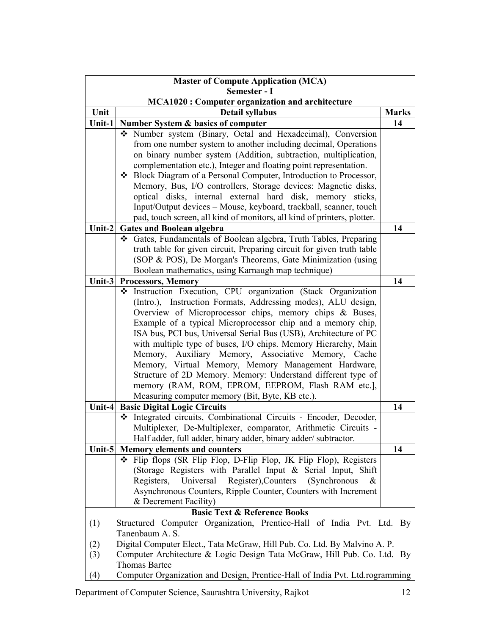| <b>Master of Compute Application (MCA)</b> |                                                                              |                |  |  |  |
|--------------------------------------------|------------------------------------------------------------------------------|----------------|--|--|--|
| Semester - I                               |                                                                              |                |  |  |  |
|                                            | <b>MCA1020: Computer organization and architecture</b>                       |                |  |  |  |
| Unit                                       | <b>Detail syllabus</b>                                                       | <b>Marks</b>   |  |  |  |
| Unit-1                                     | Number System & basics of computer                                           | 14             |  |  |  |
|                                            | Number system (Binary, Octal and Hexadecimal), Conversion                    |                |  |  |  |
|                                            | from one number system to another including decimal, Operations              |                |  |  |  |
|                                            | on binary number system (Addition, subtraction, multiplication,              |                |  |  |  |
|                                            | complementation etc.), Integer and floating point representation.            |                |  |  |  |
|                                            | ❖ Block Diagram of a Personal Computer, Introduction to Processor,           |                |  |  |  |
|                                            | Memory, Bus, I/O controllers, Storage devices: Magnetic disks,               |                |  |  |  |
|                                            | optical disks, internal external hard disk, memory sticks,                   |                |  |  |  |
|                                            | Input/Output devices - Mouse, keyboard, trackball, scanner, touch            |                |  |  |  |
|                                            | pad, touch screen, all kind of monitors, all kind of printers, plotter.      |                |  |  |  |
| Unit-2                                     | <b>Gates and Boolean algebra</b>                                             | 14             |  |  |  |
|                                            | Gates, Fundamentals of Boolean algebra, Truth Tables, Preparing              |                |  |  |  |
|                                            | truth table for given circuit, Preparing circuit for given truth table       |                |  |  |  |
|                                            | (SOP & POS), De Morgan's Theorems, Gate Minimization (using                  |                |  |  |  |
|                                            | Boolean mathematics, using Karnaugh map technique)                           |                |  |  |  |
| Unit-3                                     | <b>Processors, Memory</b>                                                    | 14             |  |  |  |
|                                            | Instruction Execution, CPU organization (Stack Organization<br>❖             |                |  |  |  |
|                                            | (Intro.), Instruction Formats, Addressing modes), ALU design,                |                |  |  |  |
|                                            | Overview of Microprocessor chips, memory chips & Buses,                      |                |  |  |  |
|                                            | Example of a typical Microprocessor chip and a memory chip,                  |                |  |  |  |
|                                            | ISA bus, PCI bus, Universal Serial Bus (USB), Architecture of PC             |                |  |  |  |
|                                            | with multiple type of buses, I/O chips. Memory Hierarchy, Main               |                |  |  |  |
|                                            | Memory, Auxiliary Memory, Associative Memory, Cache                          |                |  |  |  |
|                                            | Memory, Virtual Memory, Memory Management Hardware,                          |                |  |  |  |
|                                            | Structure of 2D Memory. Memory: Understand different type of                 |                |  |  |  |
|                                            | memory (RAM, ROM, EPROM, EEPROM, Flash RAM etc.],                            |                |  |  |  |
|                                            | Measuring computer memory (Bit, Byte, KB etc.).                              |                |  |  |  |
| Unit-4                                     | <b>Basic Digital Logic Circuits</b>                                          | 14             |  |  |  |
|                                            | Integrated circuits, Combinational Circuits - Encoder, Decoder,<br>❖         |                |  |  |  |
|                                            | Multiplexer, De-Multiplexer, comparator, Arithmetic Circuits -               |                |  |  |  |
|                                            | Half adder, full adder, binary adder, binary adder/ subtractor.              |                |  |  |  |
| Unit-5                                     | <b>Memory elements and counters</b>                                          | 14             |  |  |  |
|                                            | * Flip flops (SR Flip Flop, D-Flip Flop, JK Flip Flop), Registers            |                |  |  |  |
|                                            | (Storage Registers with Parallel Input & Serial Input, Shift                 |                |  |  |  |
|                                            | Register), Counters<br>Registers, Universal<br>(Synchronous<br>&             |                |  |  |  |
|                                            | Asynchronous Counters, Ripple Counter, Counters with Increment               |                |  |  |  |
|                                            | & Decrement Facility)                                                        |                |  |  |  |
|                                            | <b>Basic Text &amp; Reference Books</b>                                      |                |  |  |  |
| (1)                                        | Structured Computer Organization, Prentice-Hall of India Pvt. Ltd.           | $\mathbf{B}$ y |  |  |  |
|                                            | Tanenbaum A. S.                                                              |                |  |  |  |
| (2)                                        | Digital Computer Elect., Tata McGraw, Hill Pub. Co. Ltd. By Malvino A. P.    |                |  |  |  |
| (3)                                        | Computer Architecture & Logic Design Tata McGraw, Hill Pub. Co. Ltd. By      |                |  |  |  |
|                                            | <b>Thomas Bartee</b>                                                         |                |  |  |  |
| (4)                                        | Computer Organization and Design, Prentice-Hall of India Pvt. Ltd.rogramming |                |  |  |  |
|                                            |                                                                              |                |  |  |  |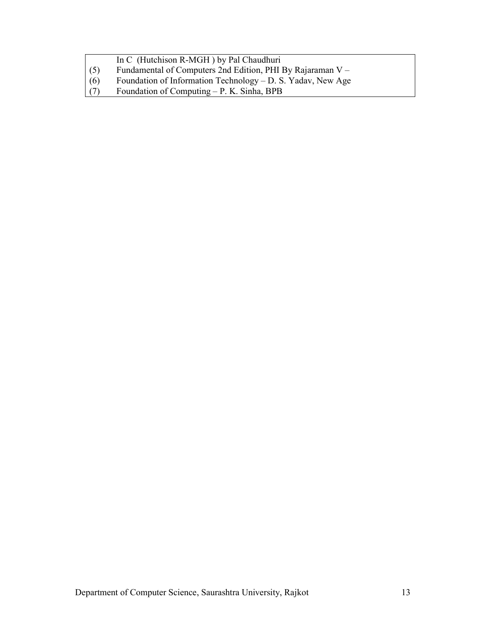- (5) Fundamental of Computers 2nd Edition, PHI By Rajaraman V –
- (6) Foundation of Information Technology D. S. Yadav, New Age
- (7) Foundation of Computing P. K. Sinha, BPB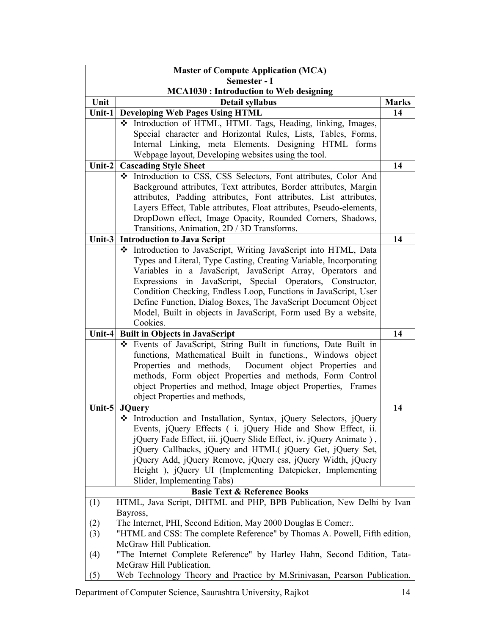| <b>Master of Compute Application (MCA)</b> |                                                                            |              |  |  |
|--------------------------------------------|----------------------------------------------------------------------------|--------------|--|--|
| Semester - I                               |                                                                            |              |  |  |
|                                            | <b>MCA1030: Introduction to Web designing</b>                              |              |  |  |
| Unit                                       | Detail syllabus                                                            | <b>Marks</b> |  |  |
| Unit-1                                     | <b>Developing Web Pages Using HTML</b>                                     | 14           |  |  |
|                                            | * Introduction of HTML, HTML Tags, Heading, linking, Images,               |              |  |  |
|                                            | Special character and Horizontal Rules, Lists, Tables, Forms,              |              |  |  |
|                                            | Internal Linking, meta Elements. Designing HTML forms                      |              |  |  |
|                                            | Webpage layout, Developing websites using the tool.                        |              |  |  |
| Unit- $2$                                  | <b>Cascading Style Sheet</b>                                               | 14           |  |  |
|                                            | The Introduction to CSS, CSS Selectors, Font attributes, Color And         |              |  |  |
|                                            | Background attributes, Text attributes, Border attributes, Margin          |              |  |  |
|                                            | attributes, Padding attributes, Font attributes, List attributes,          |              |  |  |
|                                            | Layers Effect, Table attributes, Float attributes, Pseudo-elements,        |              |  |  |
|                                            | DropDown effect, Image Opacity, Rounded Corners, Shadows,                  |              |  |  |
|                                            | Transitions, Animation, 2D / 3D Transforms.                                |              |  |  |
| Unit- $3$                                  | <b>Introduction to Java Script</b>                                         | 14           |  |  |
|                                            | * Introduction to JavaScript, Writing JavaScript into HTML, Data           |              |  |  |
|                                            | Types and Literal, Type Casting, Creating Variable, Incorporating          |              |  |  |
|                                            | Variables in a JavaScript, JavaScript Array, Operators and                 |              |  |  |
|                                            | Expressions in JavaScript, Special Operators, Constructor,                 |              |  |  |
|                                            | Condition Checking, Endless Loop, Functions in JavaScript, User            |              |  |  |
|                                            | Define Function, Dialog Boxes, The JavaScript Document Object              |              |  |  |
|                                            | Model, Built in objects in JavaScript, Form used By a website,             |              |  |  |
|                                            | Cookies.                                                                   |              |  |  |
| Unit-4                                     | <b>Built in Objects in JavaScript</b>                                      | 14           |  |  |
|                                            | Events of JavaScript, String Built in functions, Date Built in             |              |  |  |
|                                            | functions, Mathematical Built in functions., Windows object                |              |  |  |
|                                            | Properties and methods, Document object Properties and                     |              |  |  |
|                                            | methods, Form object Properties and methods, Form Control                  |              |  |  |
|                                            | object Properties and method, Image object Properties, Frames              |              |  |  |
|                                            | object Properties and methods,                                             |              |  |  |
|                                            | Unit-5 JQuery                                                              | 14           |  |  |
|                                            | The Introduction and Installation, Syntax, jQuery Selectors, jQuery        |              |  |  |
|                                            | Events, jQuery Effects (i. jQuery Hide and Show Effect, ii.                |              |  |  |
|                                            | jQuery Fade Effect, iii. jQuery Slide Effect, iv. jQuery Animate),         |              |  |  |
|                                            | jQuery Callbacks, jQuery and HTML( jQuery Get, jQuery Set,                 |              |  |  |
|                                            | jQuery Add, jQuery Remove, jQuery css, jQuery Width, jQuery                |              |  |  |
|                                            | Height), jQuery UI (Implementing Datepicker, Implementing                  |              |  |  |
|                                            | Slider, Implementing Tabs)                                                 |              |  |  |
|                                            | <b>Basic Text &amp; Reference Books</b>                                    |              |  |  |
| (1)                                        | HTML, Java Script, DHTML and PHP, BPB Publication, New Delhi by Ivan       |              |  |  |
|                                            | Bayross,                                                                   |              |  |  |
| (2)                                        | The Internet, PHI, Second Edition, May 2000 Douglas E Comer                |              |  |  |
| (3)                                        | "HTML and CSS: The complete Reference" by Thomas A. Powell, Fifth edition, |              |  |  |
|                                            | McGraw Hill Publication.                                                   |              |  |  |
| (4)                                        | "The Internet Complete Reference" by Harley Hahn, Second Edition, Tata-    |              |  |  |
|                                            | McGraw Hill Publication.                                                   |              |  |  |
| (5)                                        | Web Technology Theory and Practice by M.Srinivasan, Pearson Publication.   |              |  |  |

Department of Computer Science, Saurashtra University, Rajkot 14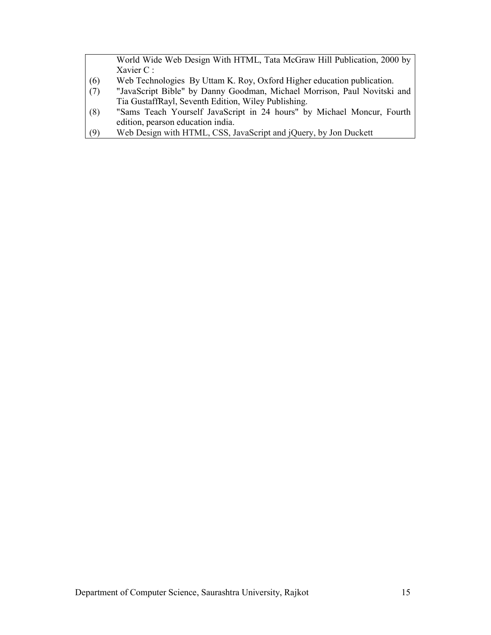World Wide Web Design With HTML, Tata McGraw Hill Publication, 2000 by Xavier C :

- (6) Web Technologies By Uttam K. Roy, Oxford Higher education publication.
- (7) "JavaScript Bible" by Danny Goodman, Michael Morrison, Paul Novitski and Tia GustaffRayl, Seventh Edition, Wiley Publishing.
- (8) "Sams Teach Yourself JavaScript in 24 hours" by Michael Moncur, Fourth edition, pearson education india.
- (9) Web Design with HTML, CSS, JavaScript and jQuery, by Jon Duckett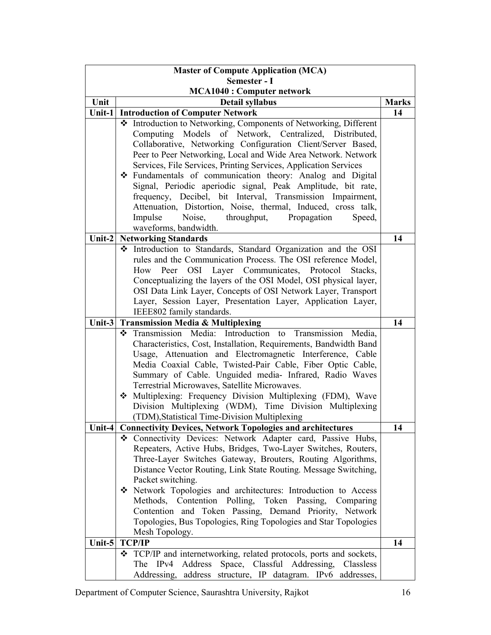| <b>Master of Compute Application (MCA)</b> |                                                                     |              |  |  |
|--------------------------------------------|---------------------------------------------------------------------|--------------|--|--|
| Semester - I                               |                                                                     |              |  |  |
|                                            | <b>MCA1040: Computer network</b>                                    |              |  |  |
| Unit                                       | <b>Detail syllabus</b>                                              | <b>Marks</b> |  |  |
| Unit-1                                     | <b>Introduction of Computer Network</b>                             | 14           |  |  |
|                                            | ❖ Introduction to Networking, Components of Networking, Different   |              |  |  |
|                                            | Computing Models of Network, Centralized, Distributed,              |              |  |  |
|                                            | Collaborative, Networking Configuration Client/Server Based,        |              |  |  |
|                                            | Peer to Peer Networking, Local and Wide Area Network. Network       |              |  |  |
|                                            | Services, File Services, Printing Services, Application Services    |              |  |  |
|                                            | Fundamentals of communication theory: Analog and Digital<br>❖       |              |  |  |
|                                            | Signal, Periodic aperiodic signal, Peak Amplitude, bit rate,        |              |  |  |
|                                            | frequency, Decibel, bit Interval, Transmission Impairment,          |              |  |  |
|                                            | Attenuation, Distortion, Noise, thermal, Induced, cross talk,       |              |  |  |
|                                            | Impulse<br>Noise,<br>throughput,<br>Propagation<br>Speed,           |              |  |  |
|                                            | waveforms, bandwidth.                                               |              |  |  |
| Unit- $2$                                  | <b>Networking Standards</b>                                         | 14           |  |  |
|                                            | Introduction to Standards, Standard Organization and the OSI        |              |  |  |
|                                            | rules and the Communication Process. The OSI reference Model,       |              |  |  |
|                                            | How Peer OSI Layer Communicates, Protocol Stacks,                   |              |  |  |
|                                            | Conceptualizing the layers of the OSI Model, OSI physical layer,    |              |  |  |
|                                            | OSI Data Link Layer, Concepts of OSI Network Layer, Transport       |              |  |  |
|                                            | Layer, Session Layer, Presentation Layer, Application Layer,        |              |  |  |
|                                            | IEEE802 family standards.                                           |              |  |  |
| Unit-3                                     | <b>Transmission Media &amp; Multiplexing</b>                        | 14           |  |  |
|                                            | Introduction to Transmission Media,<br>Transmission Media:<br>❖     |              |  |  |
|                                            | Characteristics, Cost, Installation, Requirements, Bandwidth Band   |              |  |  |
|                                            | Usage, Attenuation and Electromagnetic Interference, Cable          |              |  |  |
|                                            | Media Coaxial Cable, Twisted-Pair Cable, Fiber Optic Cable,         |              |  |  |
|                                            | Summary of Cable. Unguided media- Infrared, Radio Waves             |              |  |  |
|                                            | Terrestrial Microwaves, Satellite Microwaves.                       |              |  |  |
|                                            | Multiplexing: Frequency Division Multiplexing (FDM), Wave<br>❖      |              |  |  |
|                                            | Division Multiplexing (WDM), Time Division Multiplexing             |              |  |  |
|                                            | (TDM), Statistical Time-Division Multiplexing                       |              |  |  |
| Unit-4                                     | <b>Connectivity Devices, Network Topologies and architectures</b>   | 14           |  |  |
|                                            | Connectivity Devices: Network Adapter card, Passive Hubs,           |              |  |  |
|                                            | Repeaters, Active Hubs, Bridges, Two-Layer Switches, Routers,       |              |  |  |
|                                            | Three-Layer Switches Gateway, Brouters, Routing Algorithms,         |              |  |  |
|                                            | Distance Vector Routing, Link State Routing. Message Switching,     |              |  |  |
|                                            | Packet switching.                                                   |              |  |  |
|                                            | Stream Network Topologies and architectures: Introduction to Access |              |  |  |
|                                            |                                                                     |              |  |  |
|                                            | Methods, Contention Polling, Token Passing, Comparing               |              |  |  |
|                                            | Contention and Token Passing, Demand Priority, Network              |              |  |  |
|                                            | Topologies, Bus Topologies, Ring Topologies and Star Topologies     |              |  |  |
|                                            | Mesh Topology.                                                      |              |  |  |
| Unit-5                                     | <b>TCP/IP</b>                                                       | 14           |  |  |
|                                            | TCP/IP and internetworking, related protocols, ports and sockets,   |              |  |  |
|                                            | Address<br>Space, Classful Addressing,<br>The IPv4<br>Classless     |              |  |  |
|                                            | Addressing, address structure, IP datagram. IPv6 addresses,         |              |  |  |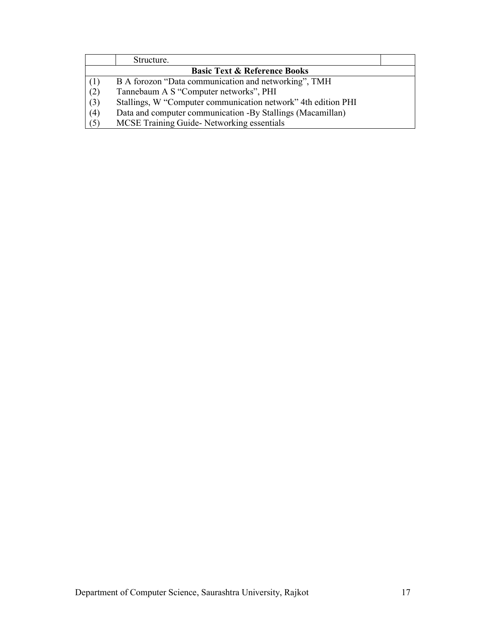|                                         | Structure.                                                    |  |  |  |
|-----------------------------------------|---------------------------------------------------------------|--|--|--|
| <b>Basic Text &amp; Reference Books</b> |                                                               |  |  |  |
| (1)                                     | B A forozon "Data communication and networking", TMH          |  |  |  |
| (2)                                     | Tannebaum A S "Computer networks", PHI                        |  |  |  |
| $\left( 3\right)$                       | Stallings, W "Computer communication network" 4th edition PHI |  |  |  |
| (4)                                     | Data and computer communication -By Stallings (Macamillan)    |  |  |  |
| (5)                                     | MCSE Training Guide-Networking essentials                     |  |  |  |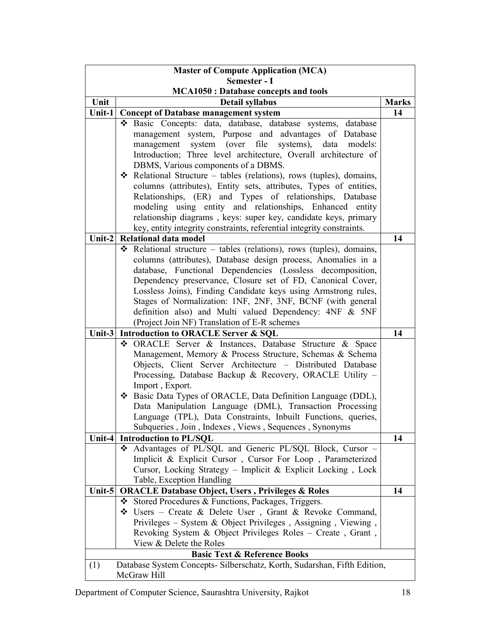| <b>Master of Compute Application (MCA)</b>                                      |                                                                                                                            |              |  |  |
|---------------------------------------------------------------------------------|----------------------------------------------------------------------------------------------------------------------------|--------------|--|--|
| Semester - I                                                                    |                                                                                                                            |              |  |  |
| <b>MCA1050: Database concepts and tools</b>                                     |                                                                                                                            |              |  |  |
| Unit                                                                            | Detail syllabus                                                                                                            | <b>Marks</b> |  |  |
| Unit-1                                                                          | <b>Concept of Database management system</b>                                                                               | 14           |  |  |
|                                                                                 | * Basic Concepts: data, database, database systems, database                                                               |              |  |  |
|                                                                                 | management system, Purpose and advantages of Database                                                                      |              |  |  |
|                                                                                 | management system (over file<br>systems),<br>data<br>models:                                                               |              |  |  |
|                                                                                 | Introduction; Three level architecture, Overall architecture of                                                            |              |  |  |
|                                                                                 | DBMS, Various components of a DBMS.                                                                                        |              |  |  |
|                                                                                 | Relational Structure – tables (relations), rows (tuples), domains,<br>❖                                                    |              |  |  |
|                                                                                 | columns (attributes), Entity sets, attributes, Types of entities,                                                          |              |  |  |
|                                                                                 | Relationships, (ER) and Types of relationships, Database                                                                   |              |  |  |
|                                                                                 | modeling using entity and relationships, Enhanced entity                                                                   |              |  |  |
|                                                                                 | relationship diagrams, keys: super key, candidate keys, primary                                                            |              |  |  |
|                                                                                 | key, entity integrity constraints, referential integrity constraints.                                                      |              |  |  |
| Unit-2                                                                          | Relational data model                                                                                                      | 14           |  |  |
|                                                                                 | Relational structure – tables (relations), rows (tuples), domains,                                                         |              |  |  |
|                                                                                 | columns (attributes), Database design process, Anomalies in a                                                              |              |  |  |
|                                                                                 | database, Functional Dependencies (Lossless decomposition,                                                                 |              |  |  |
|                                                                                 | Dependency preservance, Closure set of FD, Canonical Cover,                                                                |              |  |  |
|                                                                                 | Lossless Joins), Finding Candidate keys using Armstrong rules,                                                             |              |  |  |
|                                                                                 | Stages of Normalization: 1NF, 2NF, 3NF, BCNF (with general                                                                 |              |  |  |
|                                                                                 | definition also) and Multi valued Dependency: 4NF & 5NF                                                                    |              |  |  |
|                                                                                 | (Project Join NF) Translation of E-R schemes                                                                               |              |  |  |
| Unit-3                                                                          | <b>Introduction to ORACLE Server &amp; SQL</b>                                                                             | 14           |  |  |
|                                                                                 | ORACLE Server & Instances, Database Structure & Space<br>❖                                                                 |              |  |  |
|                                                                                 | Management, Memory & Process Structure, Schemas & Schema                                                                   |              |  |  |
|                                                                                 | Objects, Client Server Architecture - Distributed Database                                                                 |              |  |  |
|                                                                                 | Processing, Database Backup & Recovery, ORACLE Utility -                                                                   |              |  |  |
|                                                                                 | Import, Export.                                                                                                            |              |  |  |
|                                                                                 | ❖ Basic Data Types of ORACLE, Data Definition Language (DDL),                                                              |              |  |  |
|                                                                                 | Data Manipulation Language (DML), Transaction Processing                                                                   |              |  |  |
|                                                                                 | Language (TPL), Data Constraints, Inbuilt Functions, queries,                                                              |              |  |  |
|                                                                                 | Subqueries, Join, Indexes, Views, Sequences, Synonyms                                                                      |              |  |  |
|                                                                                 | Unit-4 Introduction to PL/SQL                                                                                              | 14           |  |  |
|                                                                                 | Advantages of PL/SQL and Generic PL/SQL Block, Cursor -                                                                    |              |  |  |
|                                                                                 | Implicit & Explicit Cursor, Cursor For Loop, Parameterized                                                                 |              |  |  |
|                                                                                 | Cursor, Locking Strategy - Implicit & Explicit Locking, Lock                                                               |              |  |  |
|                                                                                 | Table, Exception Handling                                                                                                  |              |  |  |
| Unit-5                                                                          | <b>ORACLE Database Object, Users, Privileges &amp; Roles</b>                                                               | 14           |  |  |
|                                                                                 | Stored Procedures & Functions, Packages, Triggers.<br>❖                                                                    |              |  |  |
|                                                                                 | $\div$ Users – Create & Delete User, Grant & Revoke Command,                                                               |              |  |  |
|                                                                                 | Privileges – System & Object Privileges, Assigning, Viewing,<br>Revoking System & Object Privileges Roles - Create, Grant, |              |  |  |
|                                                                                 | View & Delete the Roles                                                                                                    |              |  |  |
|                                                                                 | <b>Basic Text &amp; Reference Books</b>                                                                                    |              |  |  |
| Database System Concepts- Silberschatz, Korth, Sudarshan, Fifth Edition,<br>(1) |                                                                                                                            |              |  |  |
|                                                                                 | McGraw Hill                                                                                                                |              |  |  |
|                                                                                 |                                                                                                                            |              |  |  |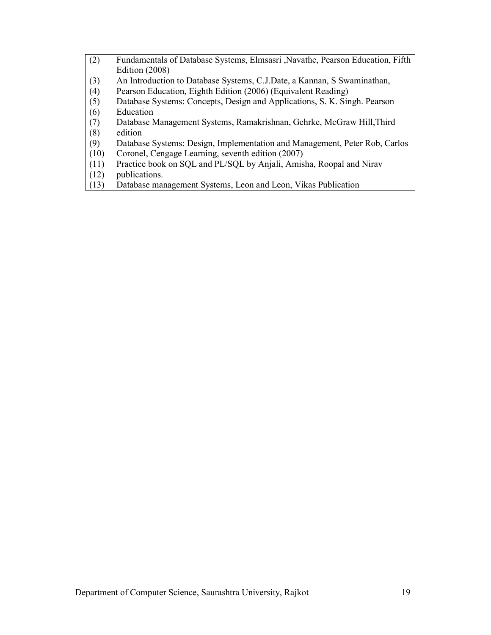| (2) | Fundamentals of Database Systems, Elmsasri, Navathe, Pearson Education, Fifth |
|-----|-------------------------------------------------------------------------------|
|     | Edition $(2008)$                                                              |
| (3) | An Introduction to Database Systems, C.J.Date, a Kannan, S Swaminathan,       |
| (4) | Pearson Education, Eighth Edition (2006) (Equivalent Reading)                 |
| (5) | Database Systems: Concepts, Design and Applications, S. K. Singh. Pearson     |
| (6) | Education                                                                     |
| (7) | Database Management Systems, Ramakrishnan, Gehrke, McGraw Hill, Third         |
| (8) | edition                                                                       |
|     |                                                                               |

(9) Database Systems: Design, Implementation and Management, Peter Rob, Carlos

- (10) Coronel, Cengage Learning, seventh edition (2007)
- (11) Practice book on SQL and PL/SQL by Anjali, Amisha, Roopal and Nirav
- publications.
- (13) Database management Systems, Leon and Leon, Vikas Publication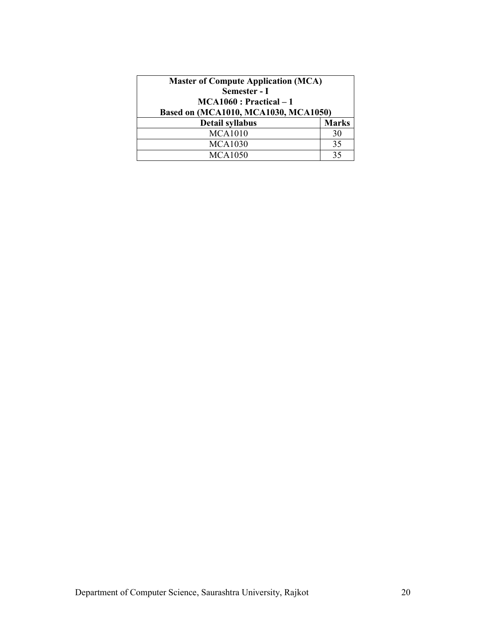| <b>Master of Compute Application (MCA)</b><br>Semester - I<br>$MCA1060: Practical-1$ |                    |
|--------------------------------------------------------------------------------------|--------------------|
| Based on (MCA1010, MCA1030, MCA1050)                                                 |                    |
| <b>Detail syllabus</b><br><b>MCA1010</b>                                             | <b>Marks</b><br>30 |
| <b>MCA1030</b>                                                                       | 35                 |
| <b>MCA1050</b>                                                                       | 35                 |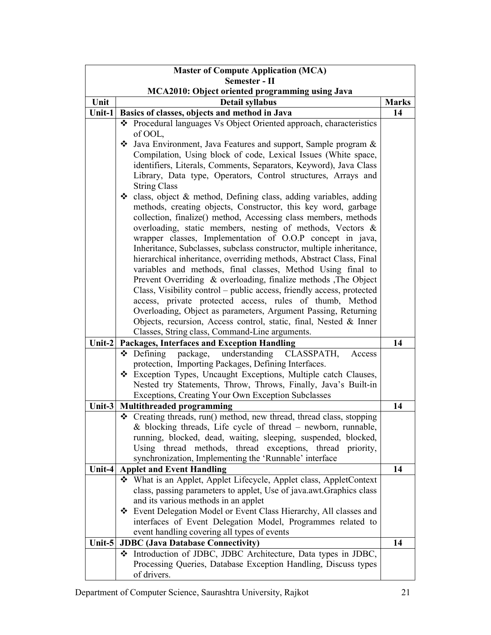| Semester - II<br><b>MCA2010: Object oriented programming using Java</b><br>Unit<br><b>Marks</b><br>Detail syllabus<br>Basics of classes, objects and method in Java<br>14<br>Unit-1<br>❖ Procedural languages Vs Object Oriented approach, characteristics<br>of OOL,<br>Java Environment, Java Features and support, Sample program &<br>❖<br>Compilation, Using block of code, Lexical Issues (White space,<br>identifiers, Literals, Comments, Separators, Keyword), Java Class<br>Library, Data type, Operators, Control structures, Arrays and<br><b>String Class</b><br>• class, object & method, Defining class, adding variables, adding<br>methods, creating objects, Constructor, this key word, garbage |
|--------------------------------------------------------------------------------------------------------------------------------------------------------------------------------------------------------------------------------------------------------------------------------------------------------------------------------------------------------------------------------------------------------------------------------------------------------------------------------------------------------------------------------------------------------------------------------------------------------------------------------------------------------------------------------------------------------------------|
|                                                                                                                                                                                                                                                                                                                                                                                                                                                                                                                                                                                                                                                                                                                    |
|                                                                                                                                                                                                                                                                                                                                                                                                                                                                                                                                                                                                                                                                                                                    |
|                                                                                                                                                                                                                                                                                                                                                                                                                                                                                                                                                                                                                                                                                                                    |
|                                                                                                                                                                                                                                                                                                                                                                                                                                                                                                                                                                                                                                                                                                                    |
|                                                                                                                                                                                                                                                                                                                                                                                                                                                                                                                                                                                                                                                                                                                    |
|                                                                                                                                                                                                                                                                                                                                                                                                                                                                                                                                                                                                                                                                                                                    |
|                                                                                                                                                                                                                                                                                                                                                                                                                                                                                                                                                                                                                                                                                                                    |
|                                                                                                                                                                                                                                                                                                                                                                                                                                                                                                                                                                                                                                                                                                                    |
|                                                                                                                                                                                                                                                                                                                                                                                                                                                                                                                                                                                                                                                                                                                    |
|                                                                                                                                                                                                                                                                                                                                                                                                                                                                                                                                                                                                                                                                                                                    |
|                                                                                                                                                                                                                                                                                                                                                                                                                                                                                                                                                                                                                                                                                                                    |
|                                                                                                                                                                                                                                                                                                                                                                                                                                                                                                                                                                                                                                                                                                                    |
|                                                                                                                                                                                                                                                                                                                                                                                                                                                                                                                                                                                                                                                                                                                    |
| collection, finalize() method, Accessing class members, methods                                                                                                                                                                                                                                                                                                                                                                                                                                                                                                                                                                                                                                                    |
| overloading, static members, nesting of methods, Vectors &                                                                                                                                                                                                                                                                                                                                                                                                                                                                                                                                                                                                                                                         |
| wrapper classes, Implementation of O.O.P concept in java,                                                                                                                                                                                                                                                                                                                                                                                                                                                                                                                                                                                                                                                          |
| Inheritance, Subclasses, subclass constructor, multiple inheritance,                                                                                                                                                                                                                                                                                                                                                                                                                                                                                                                                                                                                                                               |
| hierarchical inheritance, overriding methods, Abstract Class, Final                                                                                                                                                                                                                                                                                                                                                                                                                                                                                                                                                                                                                                                |
| variables and methods, final classes, Method Using final to                                                                                                                                                                                                                                                                                                                                                                                                                                                                                                                                                                                                                                                        |
| Prevent Overriding & overloading, finalize methods , The Object                                                                                                                                                                                                                                                                                                                                                                                                                                                                                                                                                                                                                                                    |
| Class, Visibility control – public access, friendly access, protected                                                                                                                                                                                                                                                                                                                                                                                                                                                                                                                                                                                                                                              |
| access, private protected access, rules of thumb, Method                                                                                                                                                                                                                                                                                                                                                                                                                                                                                                                                                                                                                                                           |
| Overloading, Object as parameters, Argument Passing, Returning                                                                                                                                                                                                                                                                                                                                                                                                                                                                                                                                                                                                                                                     |
| Objects, recursion, Access control, static, final, Nested & Inner                                                                                                                                                                                                                                                                                                                                                                                                                                                                                                                                                                                                                                                  |
| Classes, String class, Command-Line arguments.                                                                                                                                                                                                                                                                                                                                                                                                                                                                                                                                                                                                                                                                     |
| 14<br>Unit-2<br><b>Packages, Interfaces and Exception Handling</b>                                                                                                                                                                                                                                                                                                                                                                                                                                                                                                                                                                                                                                                 |
| understanding<br>CLASSPATH,<br>$\triangle$ Defining<br>package,<br>Access                                                                                                                                                                                                                                                                                                                                                                                                                                                                                                                                                                                                                                          |
| protection, Importing Packages, Defining Interfaces.                                                                                                                                                                                                                                                                                                                                                                                                                                                                                                                                                                                                                                                               |
| * Exception Types, Uncaught Exceptions, Multiple catch Clauses,                                                                                                                                                                                                                                                                                                                                                                                                                                                                                                                                                                                                                                                    |
| Nested try Statements, Throw, Throws, Finally, Java's Built-in                                                                                                                                                                                                                                                                                                                                                                                                                                                                                                                                                                                                                                                     |
| Exceptions, Creating Your Own Exception Subclasses                                                                                                                                                                                                                                                                                                                                                                                                                                                                                                                                                                                                                                                                 |
| 14<br><b>Multithreaded programming</b><br>Unit-3                                                                                                                                                                                                                                                                                                                                                                                                                                                                                                                                                                                                                                                                   |
| ❖ Creating threads, run() method, new thread, thread class, stopping<br>$& blocking threads, Life cycle of thread - newborn, runnable,$                                                                                                                                                                                                                                                                                                                                                                                                                                                                                                                                                                            |
| running, blocked, dead, waiting, sleeping, suspended, blocked,                                                                                                                                                                                                                                                                                                                                                                                                                                                                                                                                                                                                                                                     |
| Using thread methods, thread exceptions, thread priority,                                                                                                                                                                                                                                                                                                                                                                                                                                                                                                                                                                                                                                                          |
| synchronization, Implementing the 'Runnable' interface                                                                                                                                                                                                                                                                                                                                                                                                                                                                                                                                                                                                                                                             |
| Unit-4<br><b>Applet and Event Handling</b><br>14                                                                                                                                                                                                                                                                                                                                                                                                                                                                                                                                                                                                                                                                   |
| What is an Applet, Applet Lifecycle, Applet class, AppletContext                                                                                                                                                                                                                                                                                                                                                                                                                                                                                                                                                                                                                                                   |
| class, passing parameters to applet, Use of java.awt. Graphics class                                                                                                                                                                                                                                                                                                                                                                                                                                                                                                                                                                                                                                               |
| and its various methods in an applet                                                                                                                                                                                                                                                                                                                                                                                                                                                                                                                                                                                                                                                                               |
| ❖ Event Delegation Model or Event Class Hierarchy, All classes and                                                                                                                                                                                                                                                                                                                                                                                                                                                                                                                                                                                                                                                 |
| interfaces of Event Delegation Model, Programmes related to                                                                                                                                                                                                                                                                                                                                                                                                                                                                                                                                                                                                                                                        |
| event handling covering all types of events                                                                                                                                                                                                                                                                                                                                                                                                                                                                                                                                                                                                                                                                        |
| Unit-5<br><b>JDBC</b> (Java Database Connectivity)<br>14                                                                                                                                                                                                                                                                                                                                                                                                                                                                                                                                                                                                                                                           |
| The Introduction of JDBC, JDBC Architecture, Data types in JDBC,                                                                                                                                                                                                                                                                                                                                                                                                                                                                                                                                                                                                                                                   |
| Processing Queries, Database Exception Handling, Discuss types                                                                                                                                                                                                                                                                                                                                                                                                                                                                                                                                                                                                                                                     |
| of drivers.                                                                                                                                                                                                                                                                                                                                                                                                                                                                                                                                                                                                                                                                                                        |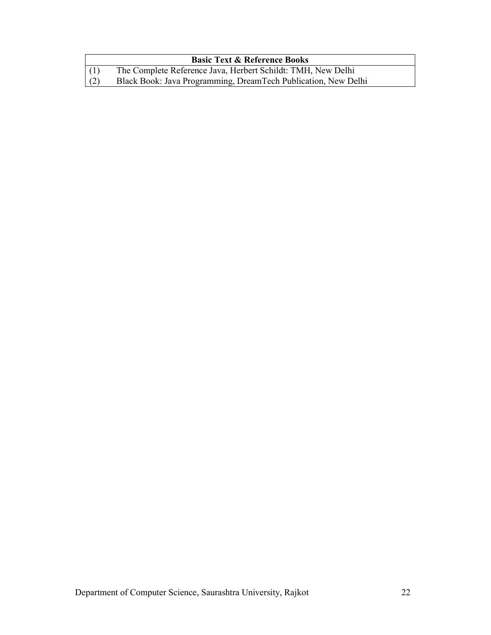|     | <b>Basic Text &amp; Reference Books</b>                        |
|-----|----------------------------------------------------------------|
| (1) | The Complete Reference Java, Herbert Schildt: TMH, New Delhi   |
| (2) | Black Book: Java Programming, DreamTech Publication, New Delhi |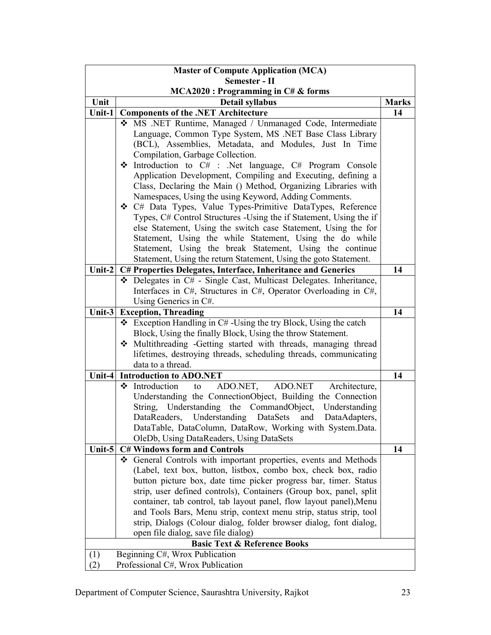| <b>Master of Compute Application (MCA)</b> |   |                                                                                                                                  |              |  |
|--------------------------------------------|---|----------------------------------------------------------------------------------------------------------------------------------|--------------|--|
| Semester - II                              |   |                                                                                                                                  |              |  |
| Unit                                       |   | $MCA2020$ : Programming in $C#$ & forms<br>Detail syllabus                                                                       | <b>Marks</b> |  |
| Unit-1                                     |   | <b>Components of the .NET Architecture</b>                                                                                       | 14           |  |
|                                            |   | * MS .NET Runtime, Managed / Unmanaged Code, Intermediate                                                                        |              |  |
|                                            |   | Language, Common Type System, MS .NET Base Class Library                                                                         |              |  |
|                                            |   | (BCL), Assemblies, Metadata, and Modules, Just In Time                                                                           |              |  |
|                                            |   | Compilation, Garbage Collection.                                                                                                 |              |  |
|                                            | ❖ | Introduction to C# : .Net language, C# Program Console                                                                           |              |  |
|                                            |   | Application Development, Compiling and Executing, defining a                                                                     |              |  |
|                                            |   | Class, Declaring the Main () Method, Organizing Libraries with                                                                   |              |  |
|                                            |   | Namespaces, Using the using Keyword, Adding Comments.                                                                            |              |  |
|                                            |   | ❖ C# Data Types, Value Types-Primitive DataTypes, Reference                                                                      |              |  |
|                                            |   | Types, C# Control Structures -Using the if Statement, Using the if                                                               |              |  |
|                                            |   | else Statement, Using the switch case Statement, Using the for                                                                   |              |  |
|                                            |   | Statement, Using the while Statement, Using the do while                                                                         |              |  |
|                                            |   | Statement, Using the break Statement, Using the continue                                                                         |              |  |
| Unit-2                                     |   | Statement, Using the return Statement, Using the goto Statement.<br>C# Properties Delegates, Interface, Inheritance and Generics | 14           |  |
|                                            |   | Delegates in C# - Single Cast, Multicast Delegates. Inheritance,                                                                 |              |  |
|                                            |   | Interfaces in C#, Structures in C#, Operator Overloading in C#,                                                                  |              |  |
|                                            |   | Using Generics in C#.                                                                                                            |              |  |
| Unit- $3$                                  |   | <b>Exception, Threading</b>                                                                                                      | 14           |  |
|                                            |   | $\div$ Exception Handling in C#-Using the try Block, Using the catch                                                             |              |  |
|                                            |   | Block, Using the finally Block, Using the throw Statement.                                                                       |              |  |
|                                            |   | Multithreading -Getting started with threads, managing thread                                                                    |              |  |
|                                            |   | lifetimes, destroying threads, scheduling threads, communicating                                                                 |              |  |
|                                            |   | data to a thread.                                                                                                                |              |  |
|                                            |   | Unit-4 Introduction to ADO.NET                                                                                                   | 14           |  |
|                                            | ❖ | ADO.NET,<br>Introduction<br>ADO.NET<br>Architecture,<br>to                                                                       |              |  |
|                                            |   | Understanding the ConnectionObject, Building the Connection                                                                      |              |  |
|                                            |   | Understanding the CommandObject,<br>String,<br>Understanding                                                                     |              |  |
|                                            |   | DataReaders, Understanding<br>DataAdapters,<br>DataSets<br>and                                                                   |              |  |
|                                            |   | DataTable, DataColumn, DataRow, Working with System.Data.<br>OleDb, Using DataReaders, Using DataSets                            |              |  |
| Unit-5                                     |   | <b>C# Windows form and Controls</b>                                                                                              | 14           |  |
|                                            |   | ❖ General Controls with important properties, events and Methods                                                                 |              |  |
|                                            |   | (Label, text box, button, listbox, combo box, check box, radio                                                                   |              |  |
|                                            |   | button picture box, date time picker progress bar, timer. Status                                                                 |              |  |
|                                            |   | strip, user defined controls), Containers (Group box, panel, split                                                               |              |  |
|                                            |   | container, tab control, tab layout panel, flow layout panel), Menu                                                               |              |  |
|                                            |   | and Tools Bars, Menu strip, context menu strip, status strip, tool                                                               |              |  |
|                                            |   | strip, Dialogs (Colour dialog, folder browser dialog, font dialog,                                                               |              |  |
|                                            |   | open file dialog, save file dialog)                                                                                              |              |  |
|                                            |   | <b>Basic Text &amp; Reference Books</b>                                                                                          |              |  |
| (1)                                        |   | Beginning C#, Wrox Publication                                                                                                   |              |  |
| (2)                                        |   | Professional C#, Wrox Publication                                                                                                |              |  |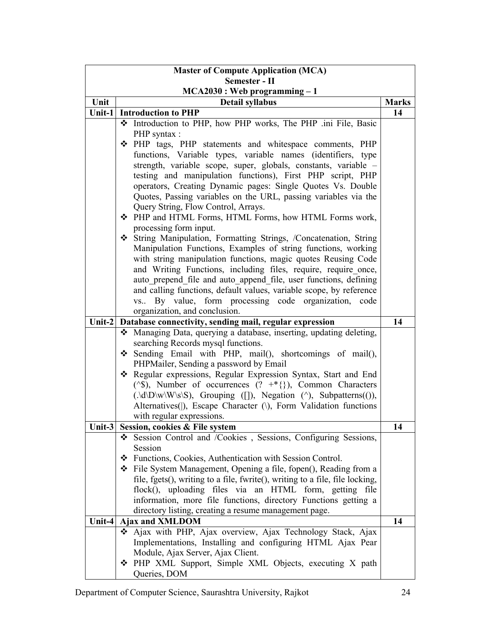| <b>Master of Compute Application (MCA)</b> |                                                                                                                               |              |  |  |
|--------------------------------------------|-------------------------------------------------------------------------------------------------------------------------------|--------------|--|--|
| Semester - II                              |                                                                                                                               |              |  |  |
| $MCA2030:$ Web programming $-1$            |                                                                                                                               |              |  |  |
| Unit                                       | <b>Detail syllabus</b>                                                                                                        | <b>Marks</b> |  |  |
|                                            | Unit-1 Introduction to PHP                                                                                                    | 14           |  |  |
|                                            | * Introduction to PHP, how PHP works, The PHP .ini File, Basic                                                                |              |  |  |
|                                            | PHP syntax :                                                                                                                  |              |  |  |
|                                            | ◆ PHP tags, PHP statements and whitespace comments, PHP                                                                       |              |  |  |
|                                            | functions, Variable types, variable names (identifiers, type                                                                  |              |  |  |
|                                            | strength, variable scope, super, globals, constants, variable -<br>testing and manipulation functions), First PHP script, PHP |              |  |  |
|                                            | operators, Creating Dynamic pages: Single Quotes Vs. Double                                                                   |              |  |  |
|                                            | Quotes, Passing variables on the URL, passing variables via the                                                               |              |  |  |
|                                            | Query String, Flow Control, Arrays.                                                                                           |              |  |  |
|                                            | ◆ PHP and HTML Forms, HTML Forms, how HTML Forms work,                                                                        |              |  |  |
|                                            | processing form input.                                                                                                        |              |  |  |
|                                            | String Manipulation, Formatting Strings, /Concatenation, String                                                               |              |  |  |
|                                            | Manipulation Functions, Examples of string functions, working                                                                 |              |  |  |
|                                            | with string manipulation functions, magic quotes Reusing Code                                                                 |              |  |  |
|                                            | and Writing Functions, including files, require, require once,                                                                |              |  |  |
|                                            | auto prepend file and auto append file, user functions, defining                                                              |              |  |  |
|                                            | and calling functions, default values, variable scope, by reference                                                           |              |  |  |
|                                            | By value, form processing code organization, code<br>$VS$                                                                     |              |  |  |
|                                            | organization, and conclusion.                                                                                                 |              |  |  |
| Unit- $2$                                  | Database connectivity, sending mail, regular expression                                                                       | 14           |  |  |
|                                            | Managing Data, querying a database, inserting, updating deleting,                                                             |              |  |  |
|                                            | searching Records mysql functions.<br>Sending Email with PHP, mail(), shortcomings of mail(),                                 |              |  |  |
|                                            | PHPMailer, Sending a password by Email                                                                                        |              |  |  |
|                                            | * Regular expressions, Regular Expression Syntax, Start and End                                                               |              |  |  |
|                                            | ( $\sqrt{s}$ ), Number of occurrences (? +*{}), Common Characters                                                             |              |  |  |
|                                            | $(\Delta\Delta D\wedge W\wedge S)$ , Grouping ([]), Negation (^), Subpatterns(()),                                            |              |  |  |
|                                            | Alternatives( ), Escape Character (\), Form Validation functions                                                              |              |  |  |
|                                            | with regular expressions.                                                                                                     |              |  |  |
| Unit- $3$                                  | Session, cookies & File system                                                                                                | 14           |  |  |
|                                            | Session Control and /Cookies, Sessions, Configuring Sessions,                                                                 |              |  |  |
|                                            | Session                                                                                                                       |              |  |  |
|                                            | ❖ Functions, Cookies, Authentication with Session Control.                                                                    |              |  |  |
|                                            | ❖ File System Management, Opening a file, fopen(), Reading from a                                                             |              |  |  |
|                                            | file, fgets(), writing to a file, fwrite(), writing to a file, file locking,                                                  |              |  |  |
|                                            | flock(), uploading files via an HTML form, getting file                                                                       |              |  |  |
|                                            | information, more file functions, directory Functions getting a<br>directory listing, creating a resume management page.      |              |  |  |
| Unit-4                                     | <b>Ajax and XMLDOM</b>                                                                                                        | 14           |  |  |
|                                            | Ajax with PHP, Ajax overview, Ajax Technology Stack, Ajax                                                                     |              |  |  |
|                                            | Implementations, Installing and configuring HTML Ajax Pear                                                                    |              |  |  |
|                                            | Module, Ajax Server, Ajax Client.                                                                                             |              |  |  |
|                                            | ❖ PHP XML Support, Simple XML Objects, executing X path                                                                       |              |  |  |
|                                            | Queries, DOM                                                                                                                  |              |  |  |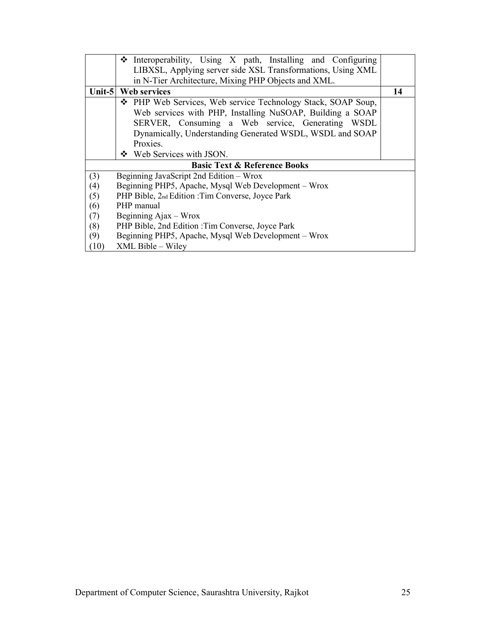|      | $\triangle$ Interoperability, Using X path, Installing and Configuring |    |
|------|------------------------------------------------------------------------|----|
|      | LIBXSL, Applying server side XSL Transformations, Using XML            |    |
|      | in N-Tier Architecture, Mixing PHP Objects and XML.                    |    |
|      | Unit-5   Web services                                                  | 14 |
|      | ❖ PHP Web Services, Web service Technology Stack, SOAP Soup,           |    |
|      | Web services with PHP, Installing NuSOAP, Building a SOAP              |    |
|      | SERVER, Consuming a Web service, Generating WSDL                       |    |
|      | Dynamically, Understanding Generated WSDL, WSDL and SOAP               |    |
|      | Proxies.                                                               |    |
|      | ❖ Web Services with JSON.                                              |    |
|      | <b>Basic Text &amp; Reference Books</b>                                |    |
| (3)  | Beginning JavaScript 2nd Edition - Wrox                                |    |
| (4)  | Beginning PHP5, Apache, Mysql Web Development - Wrox                   |    |
| (5)  | PHP Bible, 2nd Edition : Tim Converse, Joyce Park                      |    |
| (6)  | PHP manual                                                             |    |
| (7)  | Beginning Ajax – Wrox                                                  |    |
| (8)  | PHP Bible, 2nd Edition : Tim Converse, Joyce Park                      |    |
| (9)  | Beginning PHP5, Apache, Mysql Web Development – Wrox                   |    |
| (10) | XML Bible - Wiley                                                      |    |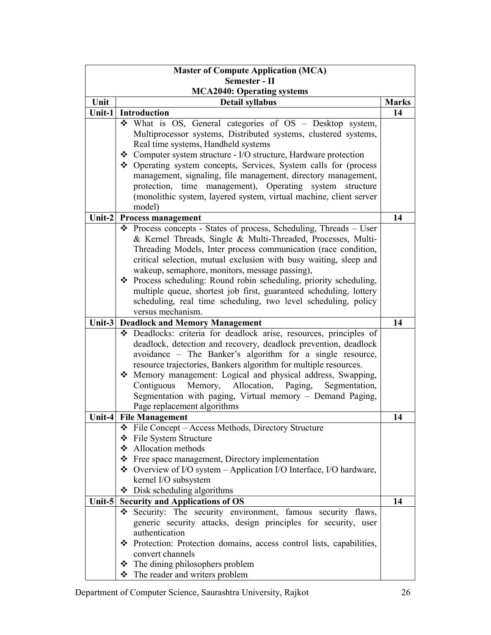| <b>Master of Compute Application (MCA)</b> |                                                                                                                      |              |  |  |
|--------------------------------------------|----------------------------------------------------------------------------------------------------------------------|--------------|--|--|
| Semester - II                              |                                                                                                                      |              |  |  |
|                                            | <b>MCA2040: Operating systems</b>                                                                                    |              |  |  |
| Unit                                       | <b>Detail syllabus</b>                                                                                               | <b>Marks</b> |  |  |
| Unit-1                                     | <b>Introduction</b>                                                                                                  | 14           |  |  |
|                                            | What is OS, General categories of OS - Desktop system,                                                               |              |  |  |
|                                            | Multiprocessor systems, Distributed systems, clustered systems,                                                      |              |  |  |
|                                            | Real time systems, Handheld systems<br>❖ Computer system structure - I/O structure, Hardware protection              |              |  |  |
|                                            | ❖ Operating system concepts, Services, System calls for (process                                                     |              |  |  |
|                                            | management, signaling, file management, directory management,                                                        |              |  |  |
|                                            | protection, time management), Operating system structure                                                             |              |  |  |
|                                            | (monolithic system, layered system, virtual machine, client server                                                   |              |  |  |
|                                            | model)                                                                                                               |              |  |  |
| Unit-2                                     | <b>Process management</b>                                                                                            | 14           |  |  |
|                                            | ❖ Process concepts - States of process, Scheduling, Threads – User                                                   |              |  |  |
|                                            | & Kernel Threads, Single & Multi-Threaded, Processes, Multi-                                                         |              |  |  |
|                                            | Threading Models, Inter process communication (race condition,                                                       |              |  |  |
|                                            | critical selection, mutual exclusion with busy waiting, sleep and                                                    |              |  |  |
|                                            | wakeup, semaphore, monitors, message passing),                                                                       |              |  |  |
|                                            | ❖ Process scheduling: Round robin scheduling, priority scheduling,                                                   |              |  |  |
|                                            | multiple queue, shortest job first, guaranteed scheduling, lottery                                                   |              |  |  |
|                                            | scheduling, real time scheduling, two level scheduling, policy                                                       |              |  |  |
|                                            | versus mechanism.                                                                                                    |              |  |  |
| Unit-3                                     | <b>Deadlock and Memory Management</b>                                                                                | 14           |  |  |
|                                            | Deadlocks: criteria for deadlock arise, resources, principles of                                                     |              |  |  |
|                                            | deadlock, detection and recovery, deadlock prevention, deadlock                                                      |              |  |  |
|                                            | avoidance – The Banker's algorithm for a single resource,                                                            |              |  |  |
|                                            | resource trajectories, Bankers algorithm for multiple resources.                                                     |              |  |  |
|                                            | * Memory management: Logical and physical address, Swapping,<br>Contiguous Memory, Allocation, Paging, Segmentation, |              |  |  |
|                                            | Segmentation with paging, Virtual memory - Demand Paging,                                                            |              |  |  |
|                                            | Page replacement algorithms                                                                                          |              |  |  |
|                                            | Unit-4 File Management                                                                                               | 14           |  |  |
|                                            | ❖ File Concept – Access Methods, Directory Structure                                                                 |              |  |  |
|                                            | ❖ File System Structure                                                                                              |              |  |  |
|                                            | ❖ Allocation methods                                                                                                 |              |  |  |
|                                            | ❖ Free space management, Directory implementation                                                                    |              |  |  |
|                                            | $\bullet$ Overview of I/O system – Application I/O Interface, I/O hardware,                                          |              |  |  |
|                                            | kernel I/O subsystem                                                                                                 |              |  |  |
|                                            | $\bullet$ Disk scheduling algorithms                                                                                 |              |  |  |
| Unit- $5$                                  | <b>Security and Applications of OS</b>                                                                               | 14           |  |  |
|                                            | Security: The security environment, famous security flaws,<br>❖                                                      |              |  |  |
|                                            | generic security attacks, design principles for security, user                                                       |              |  |  |
|                                            | authentication                                                                                                       |              |  |  |
|                                            | * Protection: Protection domains, access control lists, capabilities,                                                |              |  |  |
|                                            | convert channels                                                                                                     |              |  |  |
|                                            | The dining philosophers problem<br>❖                                                                                 |              |  |  |
|                                            | ❖ The reader and writers problem                                                                                     |              |  |  |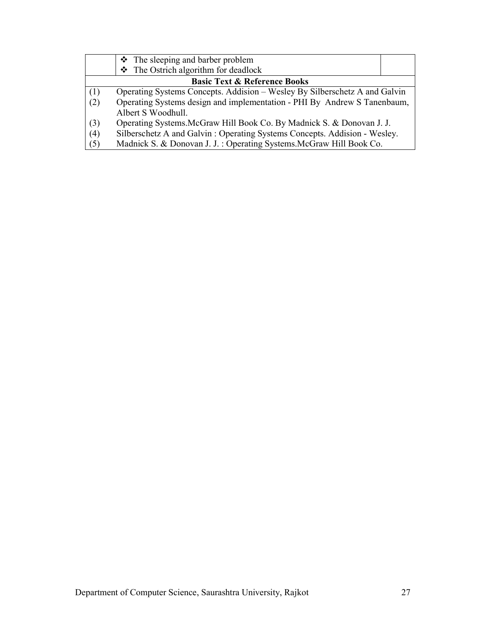|     | $\div$ The sleeping and barber problem                                     |  |  |  |
|-----|----------------------------------------------------------------------------|--|--|--|
|     | $\div$ The Ostrich algorithm for deadlock                                  |  |  |  |
|     | <b>Basic Text &amp; Reference Books</b>                                    |  |  |  |
| (1) | Operating Systems Concepts. Addision – Wesley By Silberschetz A and Galvin |  |  |  |
| (2) | Operating Systems design and implementation - PHI By Andrew S Tanenbaum,   |  |  |  |
|     | Albert S Woodhull.                                                         |  |  |  |
| (3) | Operating Systems. McGraw Hill Book Co. By Madnick S. & Donovan J. J.      |  |  |  |
| (4) | Silberschetz A and Galvin: Operating Systems Concepts. Addision - Wesley.  |  |  |  |
| (5) | Madnick S. & Donovan J. J.: Operating Systems. McGraw Hill Book Co.        |  |  |  |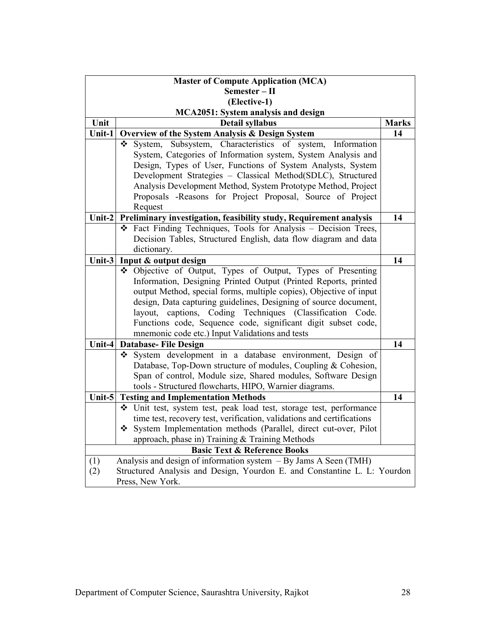| <b>Master of Compute Application (MCA)</b>                                                                                                                                       |                                                                                                                                                                                                                                                                                                                                                                                                                                                     |              |  |
|----------------------------------------------------------------------------------------------------------------------------------------------------------------------------------|-----------------------------------------------------------------------------------------------------------------------------------------------------------------------------------------------------------------------------------------------------------------------------------------------------------------------------------------------------------------------------------------------------------------------------------------------------|--------------|--|
| Semester - II                                                                                                                                                                    |                                                                                                                                                                                                                                                                                                                                                                                                                                                     |              |  |
| (Elective-1)                                                                                                                                                                     |                                                                                                                                                                                                                                                                                                                                                                                                                                                     |              |  |
|                                                                                                                                                                                  | MCA2051: System analysis and design                                                                                                                                                                                                                                                                                                                                                                                                                 |              |  |
| Unit                                                                                                                                                                             | Detail syllabus                                                                                                                                                                                                                                                                                                                                                                                                                                     | <b>Marks</b> |  |
| Unit-1                                                                                                                                                                           | Overview of the System Analysis & Design System                                                                                                                                                                                                                                                                                                                                                                                                     | 14           |  |
|                                                                                                                                                                                  | System, Subsystem, Characteristics of system, Information<br>System, Categories of Information system, System Analysis and<br>Design, Types of User, Functions of System Analysts, System<br>Development Strategies - Classical Method(SDLC), Structured<br>Analysis Development Method, System Prototype Method, Project<br>Proposals -Reasons for Project Proposal, Source of Project<br>Request                                                  |              |  |
| Unit- $2$                                                                                                                                                                        | Preliminary investigation, feasibility study, Requirement analysis                                                                                                                                                                                                                                                                                                                                                                                  | 14           |  |
|                                                                                                                                                                                  | * Fact Finding Techniques, Tools for Analysis - Decision Trees,<br>Decision Tables, Structured English, data flow diagram and data<br>dictionary.                                                                                                                                                                                                                                                                                                   |              |  |
| Unit-3                                                                                                                                                                           | Input & output design                                                                                                                                                                                                                                                                                                                                                                                                                               | 14           |  |
|                                                                                                                                                                                  | Designed Output, Types of Output, Types of Presenting<br>Information, Designing Printed Output (Printed Reports, printed<br>output Method, special forms, multiple copies), Objective of input<br>design, Data capturing guidelines, Designing of source document,<br>layout, captions, Coding Techniques (Classification Code.<br>Functions code, Sequence code, significant digit subset code,<br>mnemonic code etc.) Input Validations and tests |              |  |
| Unit-4                                                                                                                                                                           | <b>Database-File Design</b>                                                                                                                                                                                                                                                                                                                                                                                                                         | 14           |  |
|                                                                                                                                                                                  | System development in a database environment, Design of<br>Database, Top-Down structure of modules, Coupling & Cohesion,<br>Span of control, Module size, Shared modules, Software Design<br>tools - Structured flowcharts, HIPO, Warnier diagrams.                                                                                                                                                                                                 |              |  |
| Unit-5                                                                                                                                                                           | <b>Testing and Implementation Methods</b>                                                                                                                                                                                                                                                                                                                                                                                                           | 14           |  |
|                                                                                                                                                                                  | Unit test, system test, peak load test, storage test, performance<br>time test, recovery test, verification, validations and certifications<br>System Implementation methods (Parallel, direct cut-over, Pilot<br>approach, phase in) Training & Training Methods                                                                                                                                                                                   |              |  |
|                                                                                                                                                                                  | <b>Basic Text &amp; Reference Books</b>                                                                                                                                                                                                                                                                                                                                                                                                             |              |  |
| Analysis and design of information system $-$ By Jams A Seen (TMH)<br>(1)<br>Structured Analysis and Design, Yourdon E. and Constantine L. L: Yourdon<br>(2)<br>Press, New York. |                                                                                                                                                                                                                                                                                                                                                                                                                                                     |              |  |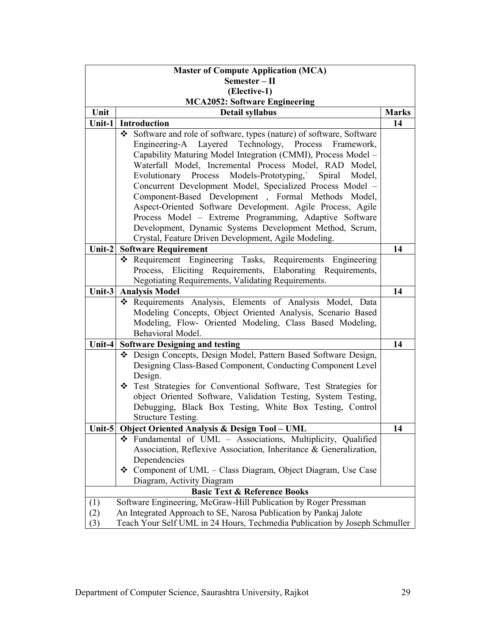| <b>Master of Compute Application (MCA)</b>                                        |                                                                                   |              |  |
|-----------------------------------------------------------------------------------|-----------------------------------------------------------------------------------|--------------|--|
| Semester - II                                                                     |                                                                                   |              |  |
| (Elective-1)                                                                      |                                                                                   |              |  |
| <b>MCA2052: Software Engineering</b>                                              |                                                                                   |              |  |
| Unit                                                                              | <b>Detail syllabus</b>                                                            | <b>Marks</b> |  |
| Unit-1 $ $                                                                        | Introduction                                                                      | 14           |  |
|                                                                                   | Software and role of software, types (nature) of software, Software<br>❖          |              |  |
|                                                                                   | Engineering-A Layered Technology, Process Framework,                              |              |  |
|                                                                                   | Capability Maturing Model Integration (CMMI), Process Model -                     |              |  |
|                                                                                   | Waterfall Model, Incremental Process Model, RAD Model,                            |              |  |
|                                                                                   | Evolutionary Process Models-Prototyping, Spiral<br>Model,                         |              |  |
|                                                                                   | Concurrent Development Model, Specialized Process Model -                         |              |  |
|                                                                                   | Component-Based Development, Formal Methods Model,                                |              |  |
|                                                                                   | Aspect-Oriented Software Development. Agile Process, Agile                        |              |  |
|                                                                                   | Process Model - Extreme Programming, Adaptive Software                            |              |  |
|                                                                                   | Development, Dynamic Systems Development Method, Scrum,                           |              |  |
|                                                                                   | Crystal, Feature Driven Development, Agile Modeling.                              |              |  |
| Unit- $2$                                                                         | <b>Software Requirement</b>                                                       | 14           |  |
|                                                                                   | * Requirement Engineering Tasks, Requirements Engineering                         |              |  |
|                                                                                   | Process, Eliciting Requirements, Elaborating Requirements,                        |              |  |
|                                                                                   | Negotiating Requirements, Validating Requirements.                                |              |  |
| Unit-3                                                                            | <b>Analysis Model</b>                                                             | 14           |  |
|                                                                                   | * Requirements Analysis, Elements of Analysis Model, Data                         |              |  |
|                                                                                   | Modeling Concepts, Object Oriented Analysis, Scenario Based                       |              |  |
|                                                                                   | Modeling, Flow- Oriented Modeling, Class Based Modeling,                          |              |  |
|                                                                                   | Behavioral Model.                                                                 |              |  |
| Unit-4                                                                            | <b>Software Designing and testing</b>                                             | 14           |  |
|                                                                                   | Design Concepts, Design Model, Pattern Based Software Design,                     |              |  |
|                                                                                   | Designing Class-Based Component, Conducting Component Level                       |              |  |
|                                                                                   | Design.                                                                           |              |  |
|                                                                                   | Test Strategies for Conventional Software, Test Strategies for                    |              |  |
|                                                                                   | object Oriented Software, Validation Testing, System Testing,                     |              |  |
|                                                                                   | Debugging, Black Box Testing, White Box Testing, Control                          |              |  |
|                                                                                   | <b>Structure Testing.</b>                                                         |              |  |
| Unit-5                                                                            | <b>Object Oriented Analysis &amp; Design Tool - UML</b><br>❖                      | 14           |  |
|                                                                                   | Fundamental of UML - Associations, Multiplicity, Qualified                        |              |  |
|                                                                                   | Association, Reflexive Association, Inheritance & Generalization,<br>Dependencies |              |  |
|                                                                                   | ❖ Component of UML – Class Diagram, Object Diagram, Use Case                      |              |  |
|                                                                                   |                                                                                   |              |  |
|                                                                                   | Diagram, Activity Diagram<br><b>Basic Text &amp; Reference Books</b>              |              |  |
|                                                                                   |                                                                                   |              |  |
|                                                                                   | Software Engineering, McGraw-Hill Publication by Roger Pressman<br>(1)            |              |  |
|                                                                                   | An Integrated Approach to SE, Narosa Publication by Pankaj Jalote<br>(2)          |              |  |
| Teach Your Self UML in 24 Hours, Techmedia Publication by Joseph Schmuller<br>(3) |                                                                                   |              |  |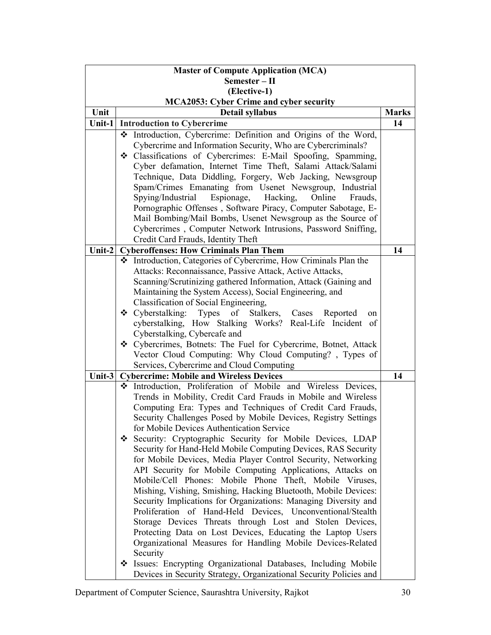| <b>Master of Compute Application (MCA)</b> |   |                                                                    |              |
|--------------------------------------------|---|--------------------------------------------------------------------|--------------|
| Semester - II                              |   |                                                                    |              |
| (Elective-1)                               |   |                                                                    |              |
| MCA2053: Cyber Crime and cyber security    |   |                                                                    |              |
| Unit                                       |   | Detail syllabus                                                    | <b>Marks</b> |
| Unit-1                                     |   | <b>Introduction to Cybercrime</b>                                  | 14           |
|                                            |   | * Introduction, Cybercrime: Definition and Origins of the Word,    |              |
|                                            |   | Cybercrime and Information Security, Who are Cybercriminals?       |              |
|                                            |   | Classifications of Cybercrimes: E-Mail Spoofing, Spamming,         |              |
|                                            |   | Cyber defamation, Internet Time Theft, Salami Attack/Salami        |              |
|                                            |   | Technique, Data Diddling, Forgery, Web Jacking, Newsgroup          |              |
|                                            |   | Spam/Crimes Emanating from Usenet Newsgroup, Industrial            |              |
|                                            |   | Spying/Industrial<br>Espionage, Hacking,<br>Online<br>Frauds,      |              |
|                                            |   | Pornographic Offenses, Software Piracy, Computer Sabotage, E-      |              |
|                                            |   | Mail Bombing/Mail Bombs, Usenet Newsgroup as the Source of         |              |
|                                            |   | Cybercrimes, Computer Network Intrusions, Password Sniffing,       |              |
|                                            |   | Credit Card Frauds, Identity Theft                                 |              |
| Unit-2                                     |   | <b>Cyberoffenses: How Criminals Plan Them</b>                      | 14           |
|                                            |   | ❖ Introduction, Categories of Cybercrime, How Criminals Plan the   |              |
|                                            |   | Attacks: Reconnaissance, Passive Attack, Active Attacks,           |              |
|                                            |   | Scanning/Scrutinizing gathered Information, Attack (Gaining and    |              |
|                                            |   | Maintaining the System Access), Social Engineering, and            |              |
|                                            |   | Classification of Social Engineering,                              |              |
|                                            |   | ❖ Cyberstalking: Types of Stalkers, Cases<br>Reported<br>on        |              |
|                                            |   | cyberstalking, How Stalking Works? Real-Life Incident of           |              |
|                                            |   | Cyberstalking, Cybercafe and                                       |              |
|                                            |   | ❖ Cybercrimes, Botnets: The Fuel for Cybercrime, Botnet, Attack    |              |
|                                            |   | Vector Cloud Computing: Why Cloud Computing?, Types of             |              |
|                                            |   | Services, Cybercrime and Cloud Computing                           |              |
| Unit-3                                     |   | <b>Cybercrime: Mobile and Wireless Devices</b>                     | 14           |
|                                            |   | * Introduction, Proliferation of Mobile and Wireless Devices,      |              |
|                                            |   | Trends in Mobility, Credit Card Frauds in Mobile and Wireless      |              |
|                                            |   | Computing Era: Types and Techniques of Credit Card Frauds,         |              |
|                                            |   | Security Challenges Posed by Mobile Devices, Registry Settings     |              |
|                                            |   | for Mobile Devices Authentication Service                          |              |
|                                            | ❖ | Security: Cryptographic Security for Mobile Devices, LDAP          |              |
|                                            |   | Security for Hand-Held Mobile Computing Devices, RAS Security      |              |
|                                            |   | for Mobile Devices, Media Player Control Security, Networking      |              |
|                                            |   | API Security for Mobile Computing Applications, Attacks on         |              |
|                                            |   | Mobile/Cell Phones: Mobile Phone Theft, Mobile Viruses,            |              |
|                                            |   | Mishing, Vishing, Smishing, Hacking Bluetooth, Mobile Devices:     |              |
|                                            |   | Security Implications for Organizations: Managing Diversity and    |              |
|                                            |   | Proliferation of Hand-Held Devices, Unconventional/Stealth         |              |
|                                            |   | Storage Devices Threats through Lost and Stolen Devices,           |              |
|                                            |   | Protecting Data on Lost Devices, Educating the Laptop Users        |              |
|                                            |   | Organizational Measures for Handling Mobile Devices-Related        |              |
|                                            |   | Security                                                           |              |
|                                            | ❖ | Issues: Encrypting Organizational Databases, Including Mobile      |              |
|                                            |   | Devices in Security Strategy, Organizational Security Policies and |              |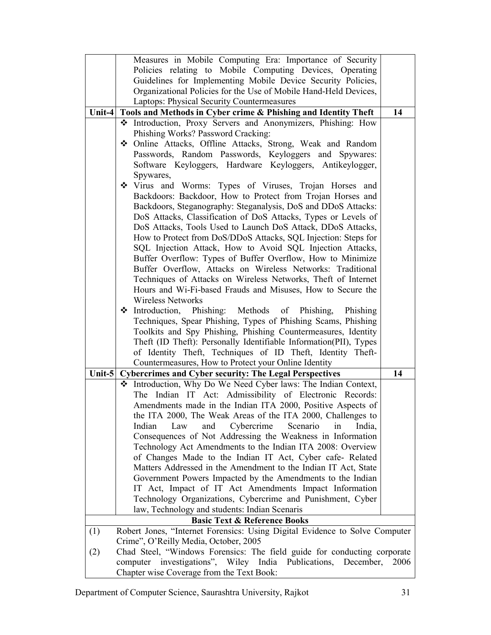|           | Measures in Mobile Computing Era: Importance of Security                                                                       |      |
|-----------|--------------------------------------------------------------------------------------------------------------------------------|------|
|           | Policies relating to Mobile Computing Devices, Operating                                                                       |      |
|           | Guidelines for Implementing Mobile Device Security Policies,                                                                   |      |
|           | Organizational Policies for the Use of Mobile Hand-Held Devices,                                                               |      |
|           | Laptops: Physical Security Countermeasures                                                                                     |      |
| Unit-4    | Tools and Methods in Cyber crime & Phishing and Identity Theft                                                                 | 14   |
|           | * Introduction, Proxy Servers and Anonymizers, Phishing: How                                                                   |      |
|           | Phishing Works? Password Cracking:                                                                                             |      |
|           | ◆ Online Attacks, Offline Attacks, Strong, Weak and Random                                                                     |      |
|           | Passwords, Random Passwords, Keyloggers and Spywares:                                                                          |      |
|           | Software Keyloggers, Hardware Keyloggers, Antikeylogger,                                                                       |      |
|           | Spywares,                                                                                                                      |      |
|           | Virus and Worms: Types of Viruses, Trojan Horses and                                                                           |      |
|           | Backdoors: Backdoor, How to Protect from Trojan Horses and                                                                     |      |
|           | Backdoors, Steganography: Steganalysis, DoS and DDoS Attacks:                                                                  |      |
|           | DoS Attacks, Classification of DoS Attacks, Types or Levels of                                                                 |      |
|           | DoS Attacks, Tools Used to Launch DoS Attack, DDoS Attacks,                                                                    |      |
|           | How to Protect from DoS/DDoS Attacks, SQL Injection: Steps for                                                                 |      |
|           | SQL Injection Attack, How to Avoid SQL Injection Attacks,                                                                      |      |
|           | Buffer Overflow: Types of Buffer Overflow, How to Minimize                                                                     |      |
|           | Buffer Overflow, Attacks on Wireless Networks: Traditional                                                                     |      |
|           | Techniques of Attacks on Wireless Networks, Theft of Internet                                                                  |      |
|           | Hours and Wi-Fi-based Frauds and Misuses, How to Secure the                                                                    |      |
|           | <b>Wireless Networks</b>                                                                                                       |      |
|           | • Introduction, Phishing: Methods of Phishing,<br>Phishing                                                                     |      |
|           | Techniques, Spear Phishing, Types of Phishing Scams, Phishing<br>Toolkits and Spy Phishing, Phishing Countermeasures, Identity |      |
|           | Theft (ID Theft): Personally Identifiable Information(PII), Types                                                              |      |
|           | of Identity Theft, Techniques of ID Theft, Identity Theft-                                                                     |      |
|           | Countermeasures, How to Protect your Online Identity                                                                           |      |
| Unit- $5$ | <b>Cybercrimes and Cyber security: The Legal Perspectives</b>                                                                  | 14   |
|           | Introduction, Why Do We Need Cyber laws: The Indian Context,<br>❖                                                              |      |
|           | The Indian IT Act. Admissibility of Electronic Records:                                                                        |      |
|           | Amendments made in the Indian ITA 2000, Positive Aspects of                                                                    |      |
|           | the ITA 2000, The Weak Areas of the ITA 2000, Challenges to                                                                    |      |
|           | Cybercrime<br>Indian<br>Law<br>and<br>Scenario<br>India,<br>in                                                                 |      |
|           | Consequences of Not Addressing the Weakness in Information                                                                     |      |
|           | Technology Act Amendments to the Indian ITA 2008: Overview                                                                     |      |
|           | of Changes Made to the Indian IT Act, Cyber cafe-Related                                                                       |      |
|           | Matters Addressed in the Amendment to the Indian IT Act, State                                                                 |      |
|           | Government Powers Impacted by the Amendments to the Indian                                                                     |      |
|           | IT Act, Impact of IT Act Amendments Impact Information                                                                         |      |
|           | Technology Organizations, Cybercrime and Punishment, Cyber                                                                     |      |
|           | law, Technology and students: Indian Scenaris                                                                                  |      |
|           | <b>Basic Text &amp; Reference Books</b>                                                                                        |      |
| (1)       | Robert Jones, "Internet Forensics: Using Digital Evidence to Solve Computer                                                    |      |
|           | Crime", O'Reilly Media, October, 2005                                                                                          |      |
| (2)       | Chad Steel, "Windows Forensics: The field guide for conducting corporate                                                       |      |
|           | computer investigations", Wiley India Publications, December,                                                                  | 2006 |
|           | Chapter wise Coverage from the Text Book:                                                                                      |      |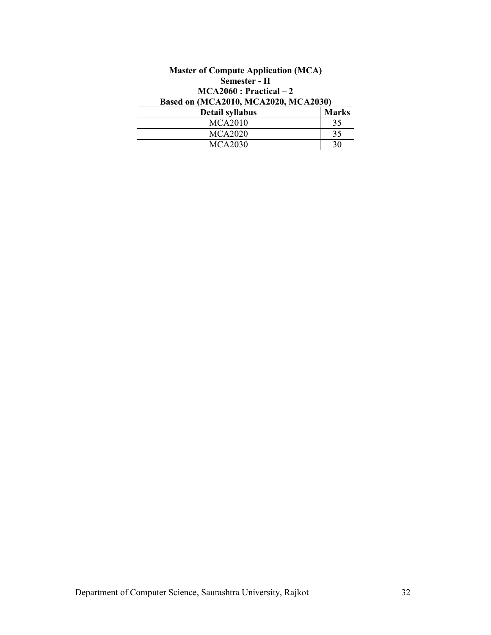| <b>Master of Compute Application (MCA)</b><br>Semester - II<br>$MCA2060: Practical-2$<br>Based on (MCA2010, MCA2020, MCA2030) |              |
|-------------------------------------------------------------------------------------------------------------------------------|--------------|
| <b>Detail syllabus</b>                                                                                                        | <b>Marks</b> |
| <b>MCA2010</b>                                                                                                                | 35           |
| <b>MCA2020</b>                                                                                                                | 35           |
| <b>MCA2030</b>                                                                                                                | 30           |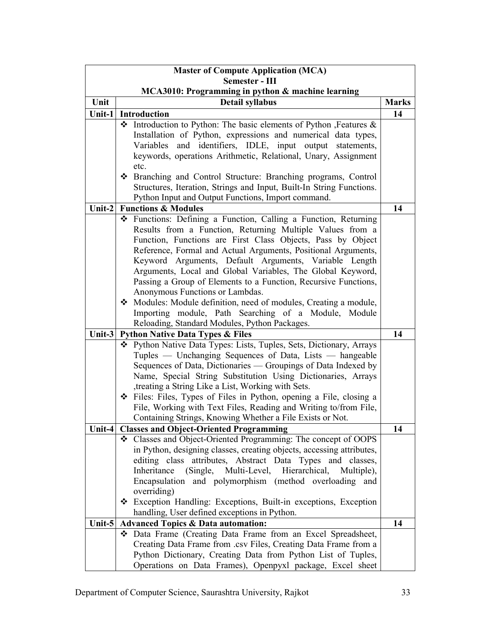| <b>Master of Compute Application (MCA)</b> |                                                                                                                               |              |  |
|--------------------------------------------|-------------------------------------------------------------------------------------------------------------------------------|--------------|--|
| Semester - III                             |                                                                                                                               |              |  |
| Unit                                       | MCA3010: Programming in python & machine learning<br>Detail syllabus                                                          | <b>Marks</b> |  |
|                                            | Unit-1 Introduction                                                                                                           | 14           |  |
|                                            | * Introduction to Python: The basic elements of Python , Features &                                                           |              |  |
|                                            | Installation of Python, expressions and numerical data types,                                                                 |              |  |
|                                            | Variables and identifiers, IDLE, input output statements,                                                                     |              |  |
|                                            | keywords, operations Arithmetic, Relational, Unary, Assignment                                                                |              |  |
|                                            | etc.                                                                                                                          |              |  |
|                                            | ❖ Branching and Control Structure: Branching programs, Control                                                                |              |  |
|                                            | Structures, Iteration, Strings and Input, Built-In String Functions.                                                          |              |  |
|                                            | Python Input and Output Functions, Import command.                                                                            |              |  |
| Unit- $2$                                  | <b>Functions &amp; Modules</b>                                                                                                | 14           |  |
|                                            | Eunctions: Defining a Function, Calling a Function, Returning                                                                 |              |  |
|                                            | Results from a Function, Returning Multiple Values from a                                                                     |              |  |
|                                            | Function, Functions are First Class Objects, Pass by Object                                                                   |              |  |
|                                            | Reference, Formal and Actual Arguments, Positional Arguments,                                                                 |              |  |
|                                            | Keyword Arguments, Default Arguments, Variable Length<br>Arguments, Local and Global Variables, The Global Keyword,           |              |  |
|                                            | Passing a Group of Elements to a Function, Recursive Functions,                                                               |              |  |
|                                            | Anonymous Functions or Lambdas.                                                                                               |              |  |
|                                            | Modules: Module definition, need of modules, Creating a module,                                                               |              |  |
|                                            | Importing module, Path Searching of a Module, Module                                                                          |              |  |
|                                            | Reloading, Standard Modules, Python Packages.                                                                                 |              |  |
|                                            | Unit-3 Python Native Data Types & Files                                                                                       | 14           |  |
|                                            | * Python Native Data Types: Lists, Tuples, Sets, Dictionary, Arrays                                                           |              |  |
|                                            | Tuples — Unchanging Sequences of Data, Lists — hangeable                                                                      |              |  |
|                                            | Sequences of Data, Dictionaries - Groupings of Data Indexed by                                                                |              |  |
|                                            | Name, Special String Substitution Using Dictionaries, Arrays                                                                  |              |  |
|                                            | , treating a String Like a List, Working with Sets.                                                                           |              |  |
|                                            | ❖ Files: Files, Types of Files in Python, opening a File, closing a                                                           |              |  |
|                                            | File, Working with Text Files, Reading and Writing to/from File,<br>Containing Strings, Knowing Whether a File Exists or Not. |              |  |
|                                            | Unit-4   Classes and Object-Oriented Programming                                                                              | 14           |  |
|                                            | Classes and Object-Oriented Programming: The concept of OOPS<br>❖                                                             |              |  |
|                                            | in Python, designing classes, creating objects, accessing attributes,                                                         |              |  |
|                                            | editing class attributes, Abstract Data Types and classes,                                                                    |              |  |
|                                            | (Single, Multi-Level, Hierarchical,<br>Inheritance<br>Multiple),                                                              |              |  |
|                                            | Encapsulation and polymorphism (method overloading and                                                                        |              |  |
|                                            | overriding)                                                                                                                   |              |  |
|                                            | * Exception Handling: Exceptions, Built-in exceptions, Exception                                                              |              |  |
|                                            | handling, User defined exceptions in Python.                                                                                  |              |  |
| Unit- $5$                                  | <b>Advanced Topics &amp; Data automation:</b>                                                                                 | 14           |  |
|                                            | Data Frame (Creating Data Frame from an Excel Spreadsheet,                                                                    |              |  |
|                                            | Creating Data Frame from .csv Files, Creating Data Frame from a                                                               |              |  |
|                                            | Python Dictionary, Creating Data from Python List of Tuples,                                                                  |              |  |
|                                            | Operations on Data Frames), Openpyxl package, Excel sheet                                                                     |              |  |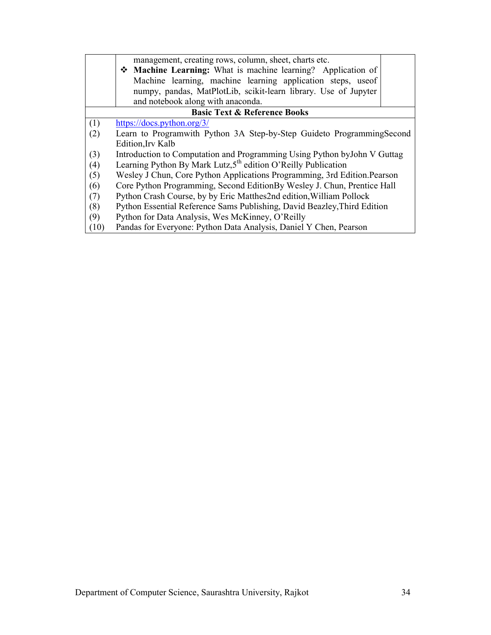|      | management, creating rows, column, sheet, charts etc.                     |  |  |
|------|---------------------------------------------------------------------------|--|--|
|      | • Machine Learning: What is machine learning? Application of              |  |  |
|      | Machine learning, machine learning application steps, use of              |  |  |
|      | numpy, pandas, MatPlotLib, scikit-learn library. Use of Jupyter           |  |  |
|      | and notebook along with anaconda.                                         |  |  |
|      | <b>Basic Text &amp; Reference Books</b>                                   |  |  |
| (1)  | https://docs.python.org/3/                                                |  |  |
| (2)  | Learn to Programwith Python 3A Step-by-Step Guideto ProgrammingSecond     |  |  |
|      | Edition, Irv Kalb                                                         |  |  |
| (3)  | Introduction to Computation and Programming Using Python by John V Guttag |  |  |
| (4)  | Learning Python By Mark Lutz,5 <sup>th</sup> edition O'Reilly Publication |  |  |
| (5)  | Wesley J Chun, Core Python Applications Programming, 3rd Edition. Pearson |  |  |
| (6)  | Core Python Programming, Second EditionBy Wesley J. Chun, Prentice Hall   |  |  |
| (7)  | Python Crash Course, by by Eric Matthes2nd edition, William Pollock       |  |  |
| (8)  | Python Essential Reference Sams Publishing, David Beazley, Third Edition  |  |  |
| (9)  | Python for Data Analysis, Wes McKinney, O'Reilly                          |  |  |
| (10) | Pandas for Everyone: Python Data Analysis, Daniel Y Chen, Pearson         |  |  |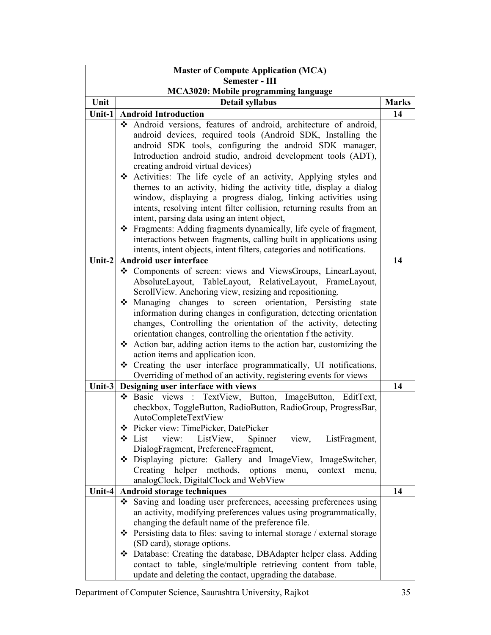| <b>Master of Compute Application (MCA)</b> |                                                                                                                        |              |  |
|--------------------------------------------|------------------------------------------------------------------------------------------------------------------------|--------------|--|
| Semester - III                             |                                                                                                                        |              |  |
|                                            | MCA3020: Mobile programming language                                                                                   |              |  |
| Unit                                       | <b>Detail syllabus</b>                                                                                                 | <b>Marks</b> |  |
| Unit-1                                     | <b>Android Introduction</b>                                                                                            | 14           |  |
|                                            | Android versions, features of android, architecture of android,                                                        |              |  |
|                                            | android devices, required tools (Android SDK, Installing the                                                           |              |  |
|                                            | android SDK tools, configuring the android SDK manager,                                                                |              |  |
|                                            | Introduction android studio, android development tools (ADT),                                                          |              |  |
|                                            | creating android virtual devices)                                                                                      |              |  |
|                                            | * Activities: The life cycle of an activity, Applying styles and                                                       |              |  |
|                                            | themes to an activity, hiding the activity title, display a dialog                                                     |              |  |
|                                            | window, displaying a progress dialog, linking activities using                                                         |              |  |
|                                            | intents, resolving intent filter collision, returning results from an                                                  |              |  |
|                                            | intent, parsing data using an intent object,                                                                           |              |  |
|                                            | ❖ Fragments: Adding fragments dynamically, life cycle of fragment,                                                     |              |  |
|                                            | interactions between fragments, calling built in applications using                                                    |              |  |
|                                            | intents, intent objects, intent filters, categories and notifications.                                                 |              |  |
| $\overline{\text{Unit-2}}$                 | Android user interface                                                                                                 | 14           |  |
|                                            | Components of screen: views and ViewsGroups, LinearLayout,<br>❖                                                        |              |  |
|                                            | AbsoluteLayout, TableLayout, RelativeLayout, FrameLayout,                                                              |              |  |
|                                            | ScrollView. Anchoring view, resizing and repositioning.                                                                |              |  |
|                                            | Managing changes to screen orientation, Persisting<br>state                                                            |              |  |
|                                            | information during changes in configuration, detecting orientation                                                     |              |  |
|                                            | changes, Controlling the orientation of the activity, detecting                                                        |              |  |
|                                            | orientation changes, controlling the orientation f the activity.                                                       |              |  |
|                                            | ❖ Action bar, adding action items to the action bar, customizing the                                                   |              |  |
|                                            | action items and application icon.                                                                                     |              |  |
|                                            | Creating the user interface programmatically, UI notifications,                                                        |              |  |
|                                            | Overriding of method of an activity, registering events for views                                                      |              |  |
| Unit-3                                     | Designing user interface with views                                                                                    | 14           |  |
|                                            | Basic views : TextView, Button, ImageButton, EditText,<br>❖                                                            |              |  |
|                                            | checkbox, ToggleButton, RadioButton, RadioGroup, ProgressBar,                                                          |              |  |
|                                            | AutoCompleteTextView                                                                                                   |              |  |
|                                            | Picker view: TimePicker, DatePicker                                                                                    |              |  |
|                                            | ❖ List<br>view:<br>ListView,<br>Spinner<br>view, ListFragment,                                                         |              |  |
|                                            | DialogFragment, PreferenceFragment,                                                                                    |              |  |
|                                            | Displaying picture: Gallery and ImageView, ImageSwitcher,                                                              |              |  |
|                                            | Creating helper methods, options menu,<br>context menu,                                                                |              |  |
|                                            | analogClock, DigitalClock and WebView                                                                                  |              |  |
| Unit-4                                     | Android storage techniques                                                                                             | 14           |  |
|                                            | Saving and loading user preferences, accessing preferences using<br>❖                                                  |              |  |
|                                            | an activity, modifying preferences values using programmatically,<br>changing the default name of the preference file. |              |  |
|                                            |                                                                                                                        |              |  |
|                                            | ❖ Persisting data to files: saving to internal storage / external storage                                              |              |  |
|                                            | (SD card), storage options.                                                                                            |              |  |
|                                            | ❖ Database: Creating the database, DBAdapter helper class. Adding                                                      |              |  |
|                                            | contact to table, single/multiple retrieving content from table,                                                       |              |  |
|                                            | update and deleting the contact, upgrading the database.                                                               |              |  |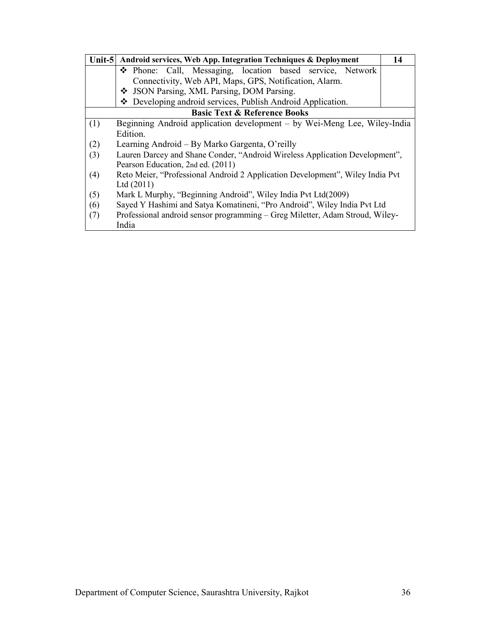|     | Unit-5 Android services, Web App. Integration Techniques & Deployment         | 14 |  |
|-----|-------------------------------------------------------------------------------|----|--|
|     | • Phone: Call, Messaging, location based service, Network                     |    |  |
|     | Connectivity, Web API, Maps, GPS, Notification, Alarm.                        |    |  |
|     | ❖ JSON Parsing, XML Parsing, DOM Parsing.                                     |    |  |
|     | ❖ Developing android services, Publish Android Application.                   |    |  |
|     | <b>Basic Text &amp; Reference Books</b>                                       |    |  |
| (1) | Beginning Android application development – by Wei-Meng Lee, Wiley-India      |    |  |
|     | Edition.                                                                      |    |  |
| (2) | Learning Android – By Marko Gargenta, O'reilly                                |    |  |
| (3) | Lauren Darcey and Shane Conder, "Android Wireless Application Development",   |    |  |
|     | Pearson Education, 2nd ed. (2011)                                             |    |  |
| (4) | Reto Meier, "Professional Android 2 Application Development", Wiley India Pvt |    |  |
|     | Ltd $(2011)$                                                                  |    |  |
| (5) | Mark L Murphy, "Beginning Android", Wiley India Pvt Ltd(2009)                 |    |  |
| (6) | Sayed Y Hashimi and Satya Komatineni, "Pro Android", Wiley India Pvt Ltd      |    |  |
| (7) | Professional android sensor programming – Greg Miletter, Adam Stroud, Wiley-  |    |  |
|     | India                                                                         |    |  |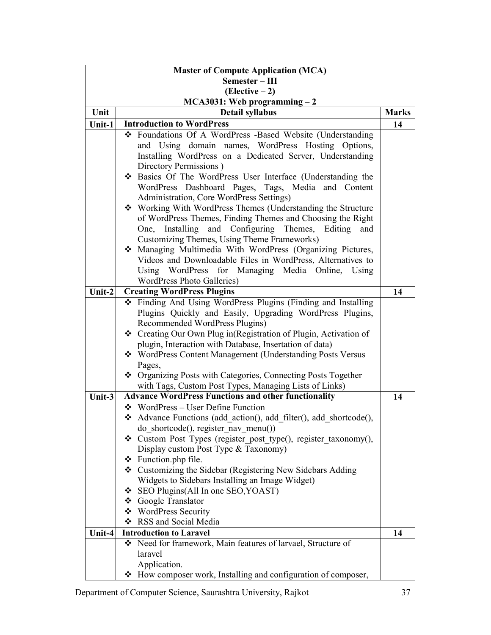| <b>Master of Compute Application (MCA)</b> |   |                                                                                                    |              |
|--------------------------------------------|---|----------------------------------------------------------------------------------------------------|--------------|
| Semester-III                               |   |                                                                                                    |              |
| $(Electric - 2)$                           |   |                                                                                                    |              |
|                                            |   | $MCA3031$ : Web programming $-2$                                                                   |              |
| Unit                                       |   | <b>Detail syllabus</b>                                                                             | <b>Marks</b> |
| Unit-1                                     |   | <b>Introduction to WordPress</b>                                                                   | 14           |
|                                            |   | ❖ Foundations Of A WordPress -Based Website (Understanding                                         |              |
|                                            |   | and Using domain names, WordPress Hosting Options,                                                 |              |
|                                            |   | Installing WordPress on a Dedicated Server, Understanding                                          |              |
|                                            |   | Directory Permissions)                                                                             |              |
|                                            |   | ❖ Basics Of The WordPress User Interface (Understanding the                                        |              |
|                                            |   | WordPress Dashboard Pages, Tags, Media and Content                                                 |              |
|                                            |   | Administration, Core WordPress Settings)                                                           |              |
|                                            |   | ❖ Working With WordPress Themes (Understanding the Structure                                       |              |
|                                            |   | of WordPress Themes, Finding Themes and Choosing the Right                                         |              |
|                                            |   | Installing<br>and Configuring<br>Themes,<br>One,<br>Editing<br>and                                 |              |
|                                            |   | Customizing Themes, Using Theme Frameworks)                                                        |              |
|                                            |   | Managing Multimedia With WordPress (Organizing Pictures,                                           |              |
|                                            |   | Videos and Downloadable Files in WordPress, Alternatives to                                        |              |
|                                            |   | Using WordPress for Managing Media Online, Using                                                   |              |
|                                            |   | <b>WordPress Photo Galleries)</b>                                                                  |              |
| Unit-2                                     |   | <b>Creating WordPress Plugins</b>                                                                  | 14           |
|                                            |   | ❖ Finding And Using WordPress Plugins (Finding and Installing                                      |              |
|                                            |   | Plugins Quickly and Easily, Upgrading WordPress Plugins,                                           |              |
|                                            |   | Recommended WordPress Plugins)<br>❖ Creating Our Own Plug in(Registration of Plugin, Activation of |              |
|                                            |   | plugin, Interaction with Database, Insertation of data)                                            |              |
|                                            |   | ❖ WordPress Content Management (Understanding Posts Versus                                         |              |
|                                            |   | Pages,                                                                                             |              |
|                                            |   | ❖ Organizing Posts with Categories, Connecting Posts Together                                      |              |
|                                            |   | with Tags, Custom Post Types, Managing Lists of Links)                                             |              |
| Unit-3                                     |   | <b>Advance WordPress Functions and other functionality</b>                                         | 14           |
|                                            |   | $\div$ WordPress – User Define Function                                                            |              |
|                                            |   | Advance Functions (add action(), add filter(), add shortcode(),                                    |              |
|                                            |   | do shortcode(), register nav menu())                                                               |              |
|                                            |   | ❖ Custom Post Types (register post type(), register taxonomy(),                                    |              |
|                                            |   | Display custom Post Type & Taxonomy)                                                               |              |
|                                            |   | ❖ Function.php file.                                                                               |              |
|                                            |   | ❖ Customizing the Sidebar (Registering New Sidebars Adding                                         |              |
|                                            |   | Widgets to Sidebars Installing an Image Widget)                                                    |              |
|                                            | ❖ | SEO Plugins (All In one SEO, YOAST)                                                                |              |
|                                            |   | ❖ Google Translator                                                                                |              |
|                                            |   | ❖ WordPress Security                                                                               |              |
|                                            | ❖ | RSS and Social Media                                                                               |              |
| Unit-4                                     |   | <b>Introduction to Laravel</b>                                                                     | 14           |
|                                            |   | ❖ Need for framework, Main features of larvael, Structure of                                       |              |
|                                            |   | laravel                                                                                            |              |
|                                            |   | Application.                                                                                       |              |
|                                            |   | ❖ How composer work, Installing and configuration of composer,                                     |              |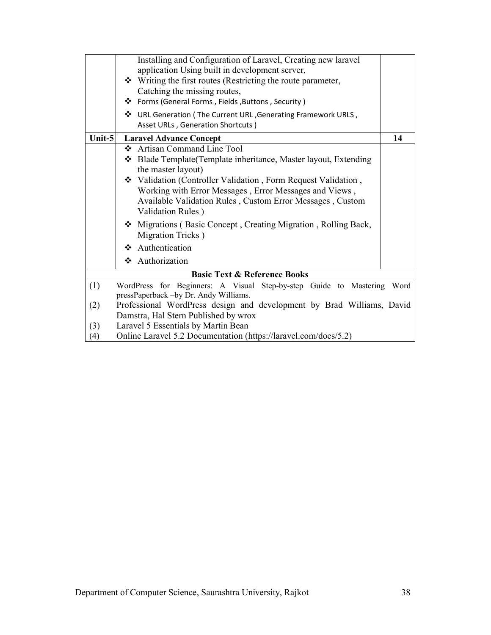|        | Installing and Configuration of Laravel, Creating new laravel                                              |      |
|--------|------------------------------------------------------------------------------------------------------------|------|
|        | application Using built in development server,                                                             |      |
|        | ❖ Writing the first routes (Restricting the route parameter,                                               |      |
|        | Catching the missing routes,                                                                               |      |
|        | ❖ Forms (General Forms, Fields, Buttons, Security)                                                         |      |
|        | V URL Generation (The Current URL, Generating Framework URLS,                                              |      |
|        | Asset URLs, Generation Shortcuts)                                                                          |      |
| Unit-5 | <b>Laravel Advance Concept</b>                                                                             | 14   |
|        | <b>Artisan Command Line Tool</b><br>❖                                                                      |      |
|        | Blade Template (Template inheritance, Master layout, Extending<br>❖                                        |      |
|        | the master layout)                                                                                         |      |
|        | ❖ Validation (Controller Validation, Form Request Validation,                                              |      |
|        | Working with Error Messages, Error Messages and Views,                                                     |      |
|        | Available Validation Rules, Custom Error Messages, Custom                                                  |      |
|        | Validation Rules)                                                                                          |      |
|        | Migrations (Basic Concept, Creating Migration, Rolling Back,                                               |      |
|        | Migration Tricks)                                                                                          |      |
|        | Authentication<br>❖                                                                                        |      |
|        | ❖ Authorization                                                                                            |      |
|        | <b>Basic Text &amp; Reference Books</b>                                                                    |      |
|        |                                                                                                            |      |
| (1)    | WordPress for Beginners: A Visual Step-by-step Guide to Mastering<br>pressPaperback -by Dr. Andy Williams. | Word |
| (2)    | Professional WordPress design and development by Brad Williams, David                                      |      |
|        | Damstra, Hal Stern Published by wrox                                                                       |      |
| (3)    | Laravel 5 Essentials by Martin Bean                                                                        |      |
| (4)    | Online Laravel 5.2 Documentation (https://laravel.com/docs/5.2)                                            |      |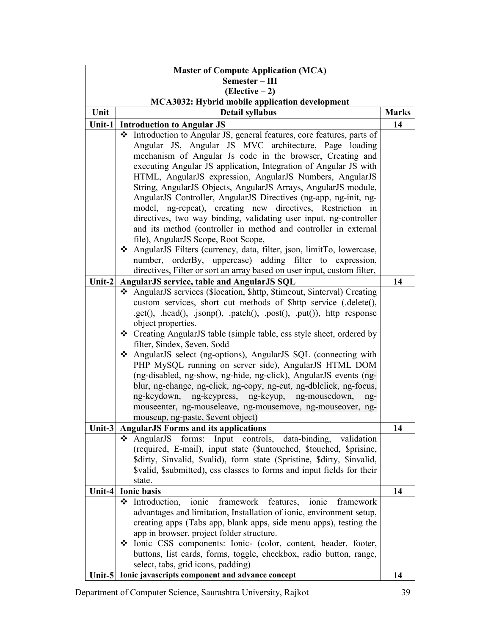| <b>Master of Compute Application (MCA)</b>            |                                                                                                                       |              |  |  |  |
|-------------------------------------------------------|-----------------------------------------------------------------------------------------------------------------------|--------------|--|--|--|
| Semester - III                                        |                                                                                                                       |              |  |  |  |
| $(Electric - 2)$                                      |                                                                                                                       |              |  |  |  |
| <b>MCA3032: Hybrid mobile application development</b> |                                                                                                                       |              |  |  |  |
| Unit                                                  | Detail syllabus                                                                                                       | <b>Marks</b> |  |  |  |
|                                                       | Unit-1 Introduction to Angular JS                                                                                     | 14           |  |  |  |
|                                                       | * Introduction to Angular JS, general features, core features, parts of                                               |              |  |  |  |
|                                                       | Angular JS, Angular JS MVC architecture, Page loading                                                                 |              |  |  |  |
|                                                       | mechanism of Angular Js code in the browser, Creating and                                                             |              |  |  |  |
|                                                       | executing Angular JS application, Integration of Angular JS with                                                      |              |  |  |  |
|                                                       | HTML, AngularJS expression, AngularJS Numbers, AngularJS                                                              |              |  |  |  |
|                                                       | String, AngularJS Objects, AngularJS Arrays, AngularJS module,                                                        |              |  |  |  |
|                                                       | AngularJS Controller, AngularJS Directives (ng-app, ng-init, ng-                                                      |              |  |  |  |
|                                                       | model, ng-repeat), creating new directives, Restriction in                                                            |              |  |  |  |
|                                                       | directives, two way binding, validating user input, ng-controller                                                     |              |  |  |  |
|                                                       | and its method (controller in method and controller in external                                                       |              |  |  |  |
|                                                       | file), AngularJS Scope, Root Scope,                                                                                   |              |  |  |  |
|                                                       | ❖ AngularJS Filters (currency, data, filter, json, limitTo, lowercase,                                                |              |  |  |  |
|                                                       | number, orderBy, uppercase) adding filter to expression,                                                              |              |  |  |  |
| Unit-2                                                | directives, Filter or sort an array based on user input, custom filter,<br>AngularJS service, table and AngularJS SQL | 14           |  |  |  |
|                                                       | AngularJS services (\$location, \$http, \$timeout, \$interval) Creating                                               |              |  |  |  |
|                                                       | custom services, short cut methods of \$http service (.delete(),                                                      |              |  |  |  |
|                                                       | .get(), .head(), .jsonp(), .patch(), .post(), .put()), http response                                                  |              |  |  |  |
|                                                       | object properties.                                                                                                    |              |  |  |  |
|                                                       | ❖ Creating AngularJS table (simple table, css style sheet, ordered by                                                 |              |  |  |  |
|                                                       | filter, \$index, \$even, \$odd                                                                                        |              |  |  |  |
|                                                       | ❖ AngularJS select (ng-options), AngularJS SQL (connecting with                                                       |              |  |  |  |
|                                                       | PHP MySQL running on server side), AngularJS HTML DOM                                                                 |              |  |  |  |
|                                                       | (ng-disabled, ng-show, ng-hide, ng-click), AngularJS events (ng-                                                      |              |  |  |  |
|                                                       | blur, ng-change, ng-click, ng-copy, ng-cut, ng-dblclick, ng-focus,                                                    |              |  |  |  |
|                                                       | ng-keydown, ng-keypress, ng-keyup, ng-mousedown,<br>ng-                                                               |              |  |  |  |
|                                                       | mouseenter, ng-mouseleave, ng-mousemove, ng-mouseover, ng-                                                            |              |  |  |  |
|                                                       | mouseup, ng-paste, \$event object)                                                                                    |              |  |  |  |
| Unit- $3$                                             | <b>AngularJS Forms and its applications</b>                                                                           | 14           |  |  |  |
|                                                       | forms: Input controls, data-binding, validation<br>$\div$ AngularJS                                                   |              |  |  |  |
|                                                       | (required, E-mail), input state (\$untouched, \$touched, \$prisine,                                                   |              |  |  |  |
|                                                       | \$dirty, \$invalid, \$valid), form state (\$pristine, \$dirty, \$invalid,                                             |              |  |  |  |
|                                                       | \$valid, \$submitted), css classes to forms and input fields for their<br>state.                                      |              |  |  |  |
| Unit-4                                                | <b>Ionic basis</b>                                                                                                    | 14           |  |  |  |
|                                                       | framework features,<br>ionic<br>ionic<br>framework<br>❖<br>Introduction,                                              |              |  |  |  |
|                                                       | advantages and limitation, Installation of ionic, environment setup,                                                  |              |  |  |  |
|                                                       | creating apps (Tabs app, blank apps, side menu apps), testing the                                                     |              |  |  |  |
|                                                       | app in browser, project folder structure.                                                                             |              |  |  |  |
|                                                       | Solid Lonic CSS components: Ionic- (color, content, header, footer,                                                   |              |  |  |  |
|                                                       | buttons, list cards, forms, toggle, checkbox, radio button, range,                                                    |              |  |  |  |
|                                                       | select, tabs, grid icons, padding)                                                                                    |              |  |  |  |
|                                                       | Unit-5 Ionic javascripts component and advance concept                                                                | 14           |  |  |  |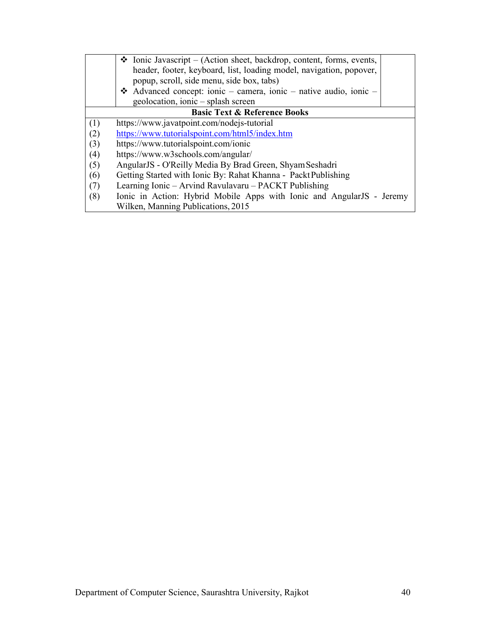|     | $\triangle$ Ionic Javascript – (Action sheet, backdrop, content, forms, events,<br>header, footer, keyboard, list, loading model, navigation, popover,<br>popup, scroll, side menu, side box, tabs) |
|-----|-----------------------------------------------------------------------------------------------------------------------------------------------------------------------------------------------------|
|     | Advanced concept: ionic – camera, ionic – native audio, ionic –                                                                                                                                     |
|     | geolocation, ionic – splash screen                                                                                                                                                                  |
|     | <b>Basic Text &amp; Reference Books</b>                                                                                                                                                             |
| (1) | https://www.javatpoint.com/nodejs-tutorial                                                                                                                                                          |
| (2) | https://www.tutorialspoint.com/html5/index.htm                                                                                                                                                      |
| (3) | https://www.tutorialspoint.com/ionic                                                                                                                                                                |
| (4) | https://www.w3schools.com/angular/                                                                                                                                                                  |
| (5) | AngularJS - O'Reilly Media By Brad Green, Shyam Seshadri                                                                                                                                            |
| (6) | Getting Started with Ionic By: Rahat Khanna - Packt Publishing                                                                                                                                      |
| (7) | Learning Ionic – Arvind Ravulavaru – PACKT Publishing                                                                                                                                               |
| (8) | Ionic in Action: Hybrid Mobile Apps with Ionic and AngularJS - Jeremy                                                                                                                               |
|     | Wilken, Manning Publications, 2015                                                                                                                                                                  |